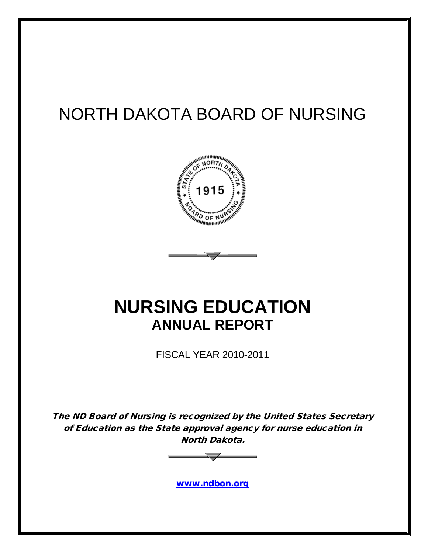# NORTH DAKOTA BOARD OF NURSING



# **NURSING EDUCATION ANNUAL REPORT**

FISCAL YEAR 2010-2011

The ND Board of Nursing is recognized by the United States Secretary of Education as the State approval agency for nurse education in North Dakota.



[www.ndbon.org](http://www.ndbon.org/)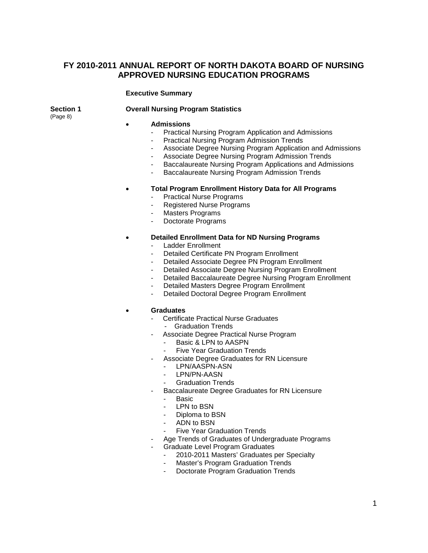# **FY 2010-2011 ANNUAL REPORT OF NORTH DAKOTA BOARD OF NURSING APPROVED NURSING EDUCATION PROGRAMS**

#### **Executive Summary**

### **Section 1 Overall Nursing Program Statistics**

(Page 8)

#### • **Admissions**

- Practical Nursing Program Application and Admissions
- Practical Nursing Program Admission Trends
- Associate Degree Nursing Program Application and Admissions
- Associate Degree Nursing Program Admission Trends
- Baccalaureate Nursing Program Applications and Admissions
- Baccalaureate Nursing Program Admission Trends

#### • **Total Program Enrollment History Data for All Programs**

- Practical Nurse Programs
- Registered Nurse Programs
- Masters Programs
- Doctorate Programs

#### • **Detailed Enrollment Data for ND Nursing Programs**

- Ladder Enrollment
- Detailed Certificate PN Program Enrollment
- Detailed Associate Degree PN Program Enrollment
- Detailed Associate Degree Nursing Program Enrollment
- Detailed Baccalaureate Degree Nursing Program Enrollment
- Detailed Masters Degree Program Enrollment
- Detailed Doctoral Degree Program Enrollment

#### • **Graduates**

- Certificate Practical Nurse Graduates
	- Graduation Trends
- Associate Degree Practical Nurse Program
	- Basic & LPN to AASPN
	- **Five Year Graduation Trends**
- Associate Degree Graduates for RN Licensure
	- LPN/AASPN-ASN
	- LPN/PN-AASN
	- Graduation Trends
	- Baccalaureate Degree Graduates for RN Licensure
		- Basic
		- LPN to BSN
		- Diploma to BSN
	- ADN to BSN
	- Five Year Graduation Trends
- Age Trends of Graduates of Undergraduate Programs
	- Graduate Level Program Graduates
		- 2010-2011 Masters' Graduates per Specialty
		- Master's Program Graduation Trends
		- Doctorate Program Graduation Trends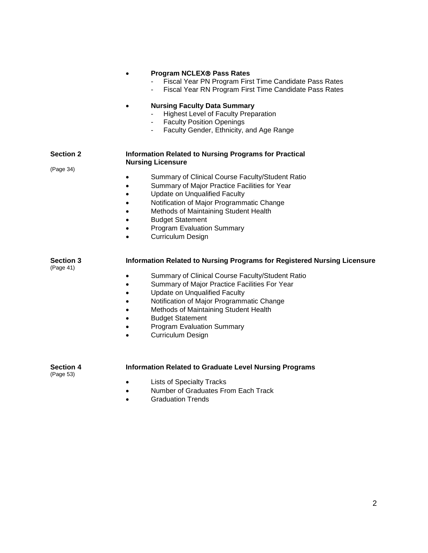|                               | <b>Program NCLEX® Pass Rates</b><br>Fiscal Year PN Program First Time Candidate Pass Rates<br>Fiscal Year RN Program First Time Candidate Pass Rates<br><b>Nursing Faculty Data Summary</b><br><b>Highest Level of Faculty Preparation</b><br><b>Faculty Position Openings</b><br>Faculty Gender, Ethnicity, and Age Range                                                                                                                     |
|-------------------------------|------------------------------------------------------------------------------------------------------------------------------------------------------------------------------------------------------------------------------------------------------------------------------------------------------------------------------------------------------------------------------------------------------------------------------------------------|
| <b>Section 2</b>              | <b>Information Related to Nursing Programs for Practical</b><br><b>Nursing Licensure</b>                                                                                                                                                                                                                                                                                                                                                       |
| (Page 34)                     | Summary of Clinical Course Faculty/Student Ratio<br>$\bullet$<br>Summary of Major Practice Facilities for Year<br>٠<br><b>Update on Unqualified Faculty</b><br>٠<br>Notification of Major Programmatic Change<br>Methods of Maintaining Student Health<br>$\bullet$<br><b>Budget Statement</b><br>٠<br><b>Program Evaluation Summary</b><br>$\bullet$<br><b>Curriculum Design</b><br>$\bullet$                                                 |
| <b>Section 3</b><br>(Page 41) | Information Related to Nursing Programs for Registered Nursing Licensure<br>Summary of Clinical Course Faculty/Student Ratio<br>Summary of Major Practice Facilities For Year<br>$\bullet$<br><b>Update on Unqualified Faculty</b><br>$\bullet$<br>Notification of Major Programmatic Change<br>$\bullet$<br>Methods of Maintaining Student Health<br><b>Budget Statement</b><br><b>Program Evaluation Summary</b><br><b>Curriculum Design</b> |
| <b>Section 4</b><br>(Page 53) | <b>Information Related to Graduate Level Nursing Programs</b>                                                                                                                                                                                                                                                                                                                                                                                  |
|                               | <b>Lists of Specialty Tracks</b><br>Number of Graduates From Each Track<br>$\bullet$                                                                                                                                                                                                                                                                                                                                                           |

• Graduation Trends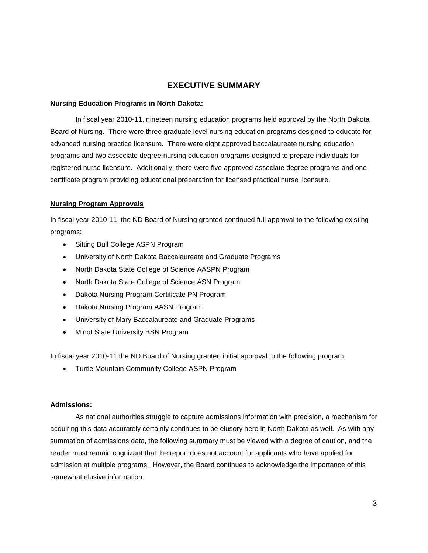### **EXECUTIVE SUMMARY**

#### **Nursing Education Programs in North Dakota:**

In fiscal year 2010-11, nineteen nursing education programs held approval by the North Dakota Board of Nursing. There were three graduate level nursing education programs designed to educate for advanced nursing practice licensure. There were eight approved baccalaureate nursing education programs and two associate degree nursing education programs designed to prepare individuals for registered nurse licensure. Additionally, there were five approved associate degree programs and one certificate program providing educational preparation for licensed practical nurse licensure.

#### **Nursing Program Approvals**

In fiscal year 2010-11, the ND Board of Nursing granted continued full approval to the following existing programs:

- Sitting Bull College ASPN Program
- University of North Dakota Baccalaureate and Graduate Programs
- North Dakota State College of Science AASPN Program
- North Dakota State College of Science ASN Program
- Dakota Nursing Program Certificate PN Program
- Dakota Nursing Program AASN Program
- University of Mary Baccalaureate and Graduate Programs
- Minot State University BSN Program

In fiscal year 2010-11 the ND Board of Nursing granted initial approval to the following program:

• Turtle Mountain Community College ASPN Program

#### **Admissions:**

As national authorities struggle to capture admissions information with precision, a mechanism for acquiring this data accurately certainly continues to be elusory here in North Dakota as well. As with any summation of admissions data, the following summary must be viewed with a degree of caution, and the reader must remain cognizant that the report does not account for applicants who have applied for admission at multiple programs. However, the Board continues to acknowledge the importance of this somewhat elusive information.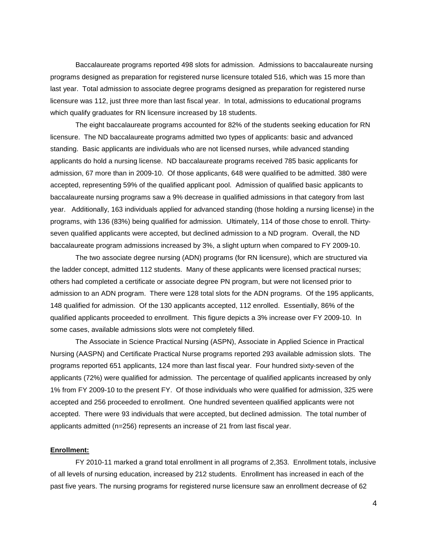Baccalaureate programs reported 498 slots for admission. Admissions to baccalaureate nursing programs designed as preparation for registered nurse licensure totaled 516, which was 15 more than last year. Total admission to associate degree programs designed as preparation for registered nurse licensure was 112, just three more than last fiscal year. In total, admissions to educational programs which qualify graduates for RN licensure increased by 18 students.

The eight baccalaureate programs accounted for 82% of the students seeking education for RN licensure. The ND baccalaureate programs admitted two types of applicants: basic and advanced standing. Basic applicants are individuals who are not licensed nurses, while advanced standing applicants do hold a nursing license. ND baccalaureate programs received 785 basic applicants for admission, 67 more than in 2009-10. Of those applicants, 648 were qualified to be admitted. 380 were accepted, representing 59% of the qualified applicant pool. Admission of qualified basic applicants to baccalaureate nursing programs saw a 9% decrease in qualified admissions in that category from last year. Additionally, 163 individuals applied for advanced standing (those holding a nursing license) in the programs, with 136 (83%) being qualified for admission. Ultimately, 114 of those chose to enroll. Thirtyseven qualified applicants were accepted, but declined admission to a ND program. Overall, the ND baccalaureate program admissions increased by 3%, a slight upturn when compared to FY 2009-10.

The two associate degree nursing (ADN) programs (for RN licensure), which are structured via the ladder concept, admitted 112 students. Many of these applicants were licensed practical nurses; others had completed a certificate or associate degree PN program, but were not licensed prior to admission to an ADN program. There were 128 total slots for the ADN programs. Of the 195 applicants, 148 qualified for admission. Of the 130 applicants accepted, 112 enrolled. Essentially, 86% of the qualified applicants proceeded to enrollment. This figure depicts a 3% increase over FY 2009-10. In some cases, available admissions slots were not completely filled.

The Associate in Science Practical Nursing (ASPN), Associate in Applied Science in Practical Nursing (AASPN) and Certificate Practical Nurse programs reported 293 available admission slots. The programs reported 651 applicants, 124 more than last fiscal year. Four hundred sixty-seven of the applicants (72%) were qualified for admission. The percentage of qualified applicants increased by only 1% from FY 2009-10 to the present FY. Of those individuals who were qualified for admission, 325 were accepted and 256 proceeded to enrollment. One hundred seventeen qualified applicants were not accepted. There were 93 individuals that were accepted, but declined admission. The total number of applicants admitted (n=256) represents an increase of 21 from last fiscal year.

#### **Enrollment:**

FY 2010-11 marked a grand total enrollment in all programs of 2,353. Enrollment totals, inclusive of all levels of nursing education, increased by 212 students. Enrollment has increased in each of the past five years. The nursing programs for registered nurse licensure saw an enrollment decrease of 62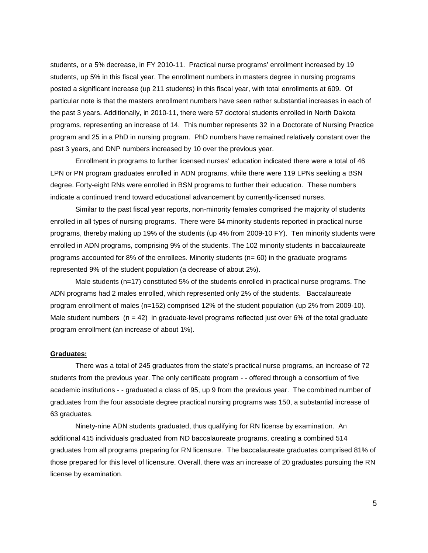students, or a 5% decrease, in FY 2010-11. Practical nurse programs' enrollment increased by 19 students, up 5% in this fiscal year. The enrollment numbers in masters degree in nursing programs posted a significant increase (up 211 students) in this fiscal year, with total enrollments at 609. Of particular note is that the masters enrollment numbers have seen rather substantial increases in each of the past 3 years. Additionally, in 2010-11, there were 57 doctoral students enrolled in North Dakota programs, representing an increase of 14. This number represents 32 in a Doctorate of Nursing Practice program and 25 in a PhD in nursing program. PhD numbers have remained relatively constant over the past 3 years, and DNP numbers increased by 10 over the previous year.

Enrollment in programs to further licensed nurses' education indicated there were a total of 46 LPN or PN program graduates enrolled in ADN programs, while there were 119 LPNs seeking a BSN degree. Forty-eight RNs were enrolled in BSN programs to further their education. These numbers indicate a continued trend toward educational advancement by currently-licensed nurses.

Similar to the past fiscal year reports, non-minority females comprised the majority of students enrolled in all types of nursing programs. There were 64 minority students reported in practical nurse programs, thereby making up 19% of the students (up 4% from 2009-10 FY). Ten minority students were enrolled in ADN programs, comprising 9% of the students. The 102 minority students in baccalaureate programs accounted for 8% of the enrollees. Minority students (n= 60) in the graduate programs represented 9% of the student population (a decrease of about 2%).

Male students (n=17) constituted 5% of the students enrolled in practical nurse programs. The ADN programs had 2 males enrolled, which represented only 2% of the students. Baccalaureate program enrollment of males (n=152) comprised 12% of the student population (up 2% from 2009-10). Male student numbers  $(n = 42)$  in graduate-level programs reflected just over 6% of the total graduate program enrollment (an increase of about 1%).

#### **Graduates:**

There was a total of 245 graduates from the state's practical nurse programs, an increase of 72 students from the previous year. The only certificate program - - offered through a consortium of five academic institutions - - graduated a class of 95, up 9 from the previous year. The combined number of graduates from the four associate degree practical nursing programs was 150, a substantial increase of 63 graduates.

Ninety-nine ADN students graduated, thus qualifying for RN license by examination. An additional 415 individuals graduated from ND baccalaureate programs, creating a combined 514 graduates from all programs preparing for RN licensure. The baccalaureate graduates comprised 81% of those prepared for this level of licensure. Overall, there was an increase of 20 graduates pursuing the RN license by examination.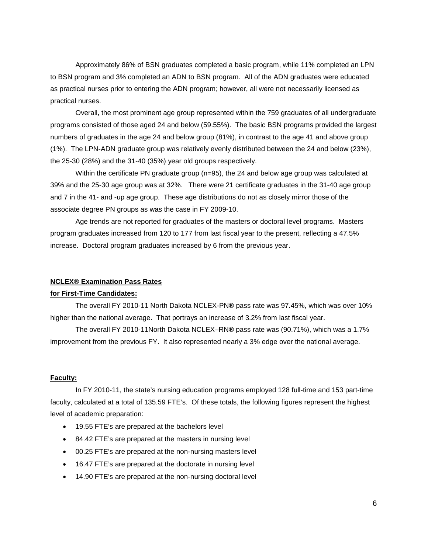Approximately 86% of BSN graduates completed a basic program, while 11% completed an LPN to BSN program and 3% completed an ADN to BSN program. All of the ADN graduates were educated as practical nurses prior to entering the ADN program; however, all were not necessarily licensed as practical nurses.

Overall, the most prominent age group represented within the 759 graduates of all undergraduate programs consisted of those aged 24 and below (59.55%). The basic BSN programs provided the largest numbers of graduates in the age 24 and below group (81%), in contrast to the age 41 and above group (1%). The LPN-ADN graduate group was relatively evenly distributed between the 24 and below (23%), the 25-30 (28%) and the 31-40 (35%) year old groups respectively.

Within the certificate PN graduate group (n=95), the 24 and below age group was calculated at 39% and the 25-30 age group was at 32%. There were 21 certificate graduates in the 31-40 age group and 7 in the 41- and -up age group. These age distributions do not as closely mirror those of the associate degree PN groups as was the case in FY 2009-10.

Age trends are not reported for graduates of the masters or doctoral level programs. Masters program graduates increased from 120 to 177 from last fiscal year to the present, reflecting a 47.5% increase. Doctoral program graduates increased by 6 from the previous year.

#### **NCLEX® Examination Pass Rates**

#### **for First-Time Candidates:**

The overall FY 2010-11 North Dakota NCLEX-PN**®** pass rate was 97.45%, which was over 10% higher than the national average. That portrays an increase of 3.2% from last fiscal year.

The overall FY 2010-11North Dakota NCLEX–RN**®** pass rate was (90.71%), which was a 1.7% improvement from the previous FY. It also represented nearly a 3% edge over the national average.

#### **Faculty:**

In FY 2010-11, the state's nursing education programs employed 128 full-time and 153 part-time faculty, calculated at a total of 135.59 FTE's. Of these totals, the following figures represent the highest level of academic preparation:

- 19.55 FTE's are prepared at the bachelors level
- 84.42 FTE's are prepared at the masters in nursing level
- 00.25 FTE's are prepared at the non-nursing masters level
- 16.47 FTE's are prepared at the doctorate in nursing level
- 14.90 FTE's are prepared at the non-nursing doctoral level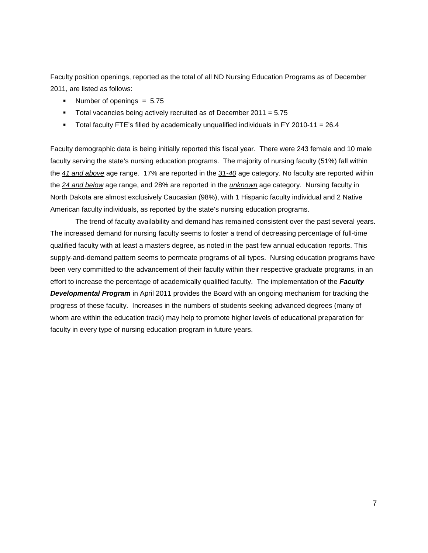Faculty position openings, reported as the total of all ND Nursing Education Programs as of December 2011, are listed as follows:

- Number of openings  $= 5.75$
- Total vacancies being actively recruited as of December 2011 = 5.75
- Total faculty FTE's filled by academically unqualified individuals in FY 2010-11 =  $26.4$

Faculty demographic data is being initially reported this fiscal year. There were 243 female and 10 male faculty serving the state's nursing education programs. The majority of nursing faculty (51%) fall within the *41 and above* age range. 17% are reported in the *31-40* age category. No faculty are reported within the *24 and below* age range, and 28% are reported in the *unknown* age category. Nursing faculty in North Dakota are almost exclusively Caucasian (98%), with 1 Hispanic faculty individual and 2 Native American faculty individuals, as reported by the state's nursing education programs.

The trend of faculty availability and demand has remained consistent over the past several years. The increased demand for nursing faculty seems to foster a trend of decreasing percentage of full-time qualified faculty with at least a masters degree, as noted in the past few annual education reports. This supply-and-demand pattern seems to permeate programs of all types. Nursing education programs have been very committed to the advancement of their faculty within their respective graduate programs, in an effort to increase the percentage of academically qualified faculty. The implementation of the *Faculty Developmental Program* in April 2011 provides the Board with an ongoing mechanism for tracking the progress of these faculty. Increases in the numbers of students seeking advanced degrees (many of whom are within the education track) may help to promote higher levels of educational preparation for faculty in every type of nursing education program in future years.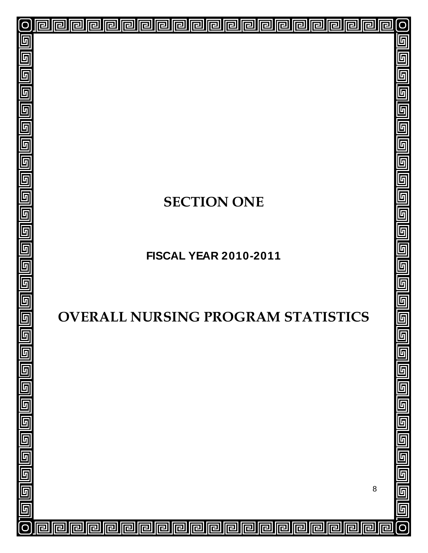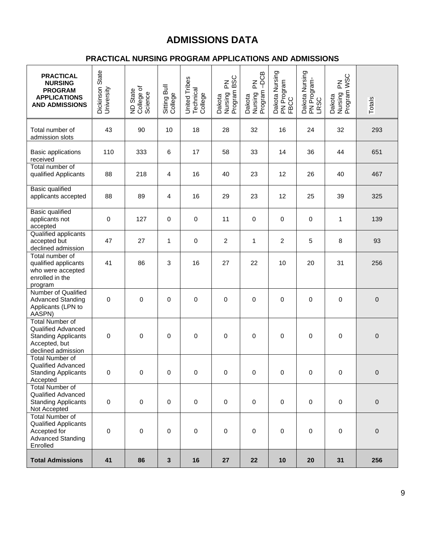# **ADMISSIONS DATA**

# **PRACTICAL NURSING PROGRAM APPLICATIONS AND ADMISSIONS**

| <b>PRACTICAL</b><br><b>NURSING</b>                                                                                |                               |                                   |                         |                                       | <b>BSC</b>                                                             |                                      |                                      |                                              |                                     |                  |
|-------------------------------------------------------------------------------------------------------------------|-------------------------------|-----------------------------------|-------------------------|---------------------------------------|------------------------------------------------------------------------|--------------------------------------|--------------------------------------|----------------------------------------------|-------------------------------------|------------------|
| <b>PROGRAM</b><br><b>APPLICATIONS</b><br><b>AND ADMISSIONS</b>                                                    | Dickinson State<br>University | College of<br>Science<br>ND State | Sitting Bull<br>College | United Tribes<br>Technical<br>College | $\mathop{\Xi}\limits_{\mathbb{L}}$<br>Dakota<br>Nursing F<br>Program I | Dakota<br>Nursing PN<br>Program –DCB | Dakota Nursing<br>PN Program<br>FBCC | Dakota Nursing<br>PN Program-<br><b>LRSC</b> | Dakota<br>Nursing PN<br>Program WSC | Totals           |
| Total number of<br>admission slots                                                                                | 43                            | 90                                | 10                      | 18                                    | 28                                                                     | 32                                   | 16                                   | 24                                           | 32                                  | 293              |
| <b>Basic applications</b><br>received                                                                             | 110                           | 333                               | 6                       | 17                                    | 58                                                                     | 33                                   | 14                                   | 36                                           | 44                                  | 651              |
| Total number of<br>qualified Applicants                                                                           | 88                            | 218                               | 4                       | 16                                    | 40                                                                     | 23                                   | 12                                   | 26                                           | 40                                  | 467              |
| Basic qualified<br>applicants accepted                                                                            | 88                            | 89                                | $\overline{4}$          | 16                                    | 29                                                                     | 23                                   | 12                                   | 25                                           | 39                                  | 325              |
| Basic qualified<br>applicants not<br>accepted                                                                     | 0                             | 127                               | $\pmb{0}$               | 0                                     | 11                                                                     | $\pmb{0}$                            | $\mathbf 0$                          | 0                                            | 1                                   | 139              |
| Qualified applicants<br>accepted but<br>declined admission                                                        | 47                            | 27                                | 1                       | 0                                     | $\overline{\mathbf{c}}$                                                | 1                                    | $\overline{c}$                       | 5                                            | 8                                   | 93               |
| Total number of<br>qualified applicants<br>who were accepted<br>enrolled in the<br>program                        | 41                            | 86                                | 3                       | 16                                    | 27                                                                     | 22                                   | 10                                   | 20                                           | 31                                  | 256              |
| Number of Qualified<br><b>Advanced Standing</b><br>Applicants (LPN to<br>AASPN)                                   | 0                             | 0                                 | 0                       | 0                                     | 0                                                                      | $\mathbf 0$                          | 0                                    | 0                                            | 0                                   | $\mathbf 0$      |
| <b>Total Number of</b><br>Qualified Advanced<br><b>Standing Applicants</b><br>Accepted, but<br>declined admission | 0                             | 0                                 | 0                       | 0                                     | 0                                                                      | 0                                    | 0                                    | 0                                            | 0                                   | $\pmb{0}$        |
| <b>Total Number of</b><br>Qualified Advanced<br><b>Standing Applicants</b><br>Accepted                            | 0                             | 0                                 | 0                       | 0                                     | 0                                                                      | 0                                    | 0                                    | 0                                            | 0                                   | $\boldsymbol{0}$ |
| <b>Total Number of</b><br>Qualified Advanced<br><b>Standing Applicants</b><br>Not Accepted                        | $\pmb{0}$                     | $\mathsf{O}\xspace$               | $\mathbf 0$             | $\pmb{0}$                             | 0                                                                      | $\pmb{0}$                            | $\pmb{0}$                            | $\pmb{0}$                                    | $\pmb{0}$                           | $\pmb{0}$        |
| <b>Total Number of</b><br>Qualified Applicants<br>Accepted for<br><b>Advanced Standing</b><br>Enrolled            | 0                             | $\pmb{0}$                         | $\pmb{0}$               | $\pmb{0}$                             | $\pmb{0}$                                                              | $\pmb{0}$                            | $\pmb{0}$                            | 0                                            | 0                                   | $\mathbf 0$      |
| <b>Total Admissions</b>                                                                                           | 41                            | 86                                | $\mathbf 3$             | 16                                    | 27                                                                     | 22                                   | 10                                   | 20                                           | 31                                  | 256              |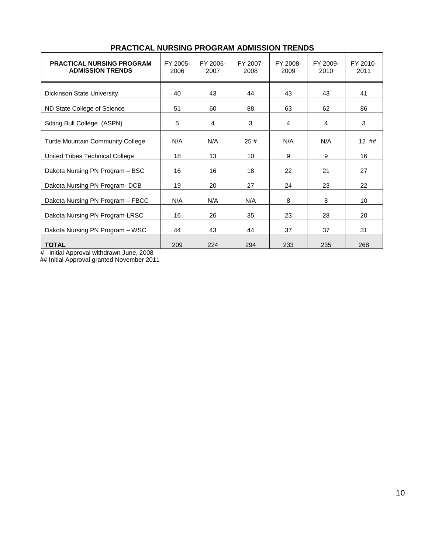| <b>PRACTICAL NURSING PROGRAM</b><br><b>ADMISSION TRENDS</b> | FY 2005-<br>2006 | FY 2006-<br>2007 | FY 2007-<br>2008 | FY 2008-<br>2009 | FY 2009-<br>2010 | FY 2010-<br>2011 |
|-------------------------------------------------------------|------------------|------------------|------------------|------------------|------------------|------------------|
| <b>Dickinson State University</b>                           | 40               | 43               | 44               | 43               | 43               | 41               |
| ND State College of Science                                 | 51               | 60               | 88               | 63               | 62               | 86               |
| Sitting Bull College (ASPN)                                 | 5                | 4                | 3                | 4                | 4                | 3                |
| <b>Turtle Mountain Community College</b>                    | N/A              | N/A              | 25#              | N/A              | N/A              | 12##             |
| United Tribes Technical College                             | 18               | 13               | 10               | 9                | 9                | 16               |
| Dakota Nursing PN Program - BSC                             | 16               | 16               | 18               | 22               | 21               | 27               |
| Dakota Nursing PN Program-DCB                               | 19               | 20               | 27               | 24               | 23               | 22               |
| Dakota Nursing PN Program - FBCC                            | N/A              | N/A              | N/A              | 8                | 8                | 10               |
| Dakota Nursing PN Program-LRSC                              | 16               | 26               | 35               | 23               | 28               | 20               |
| Dakota Nursing PN Program - WSC                             | 44               | 43               | 44               | 37               | 37               | 31               |
| <b>TOTAL</b>                                                | 209              | 224              | 294              | 233              | 235              | 268              |

# **PRACTICAL NURSING PROGRAM ADMISSION TRENDS**

# Initial Approval withdrawn June, 2008

## Initial Approval granted November 2011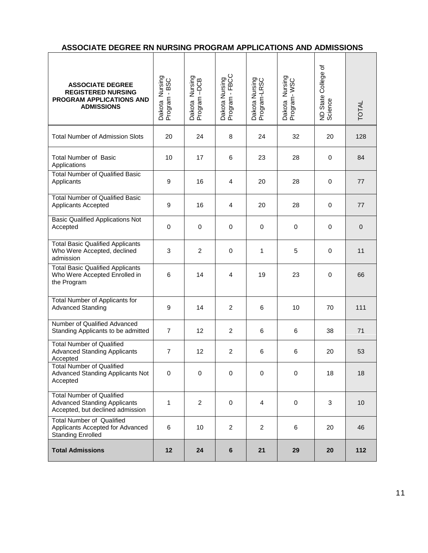|--|

 $\overline{1}$ 

| <b>ASSOCIATE DEGREE</b><br><b>REGISTERED NURSING</b><br>PROGRAM APPLICATIONS AND<br><b>ADMISSIONS</b>       | Dakota Nursing<br>Program - BSC | Dakota Nursing<br>Program -DCB | Dakota Nursing<br>Program - FBCC | Dakota Nursing<br>Program-LRSC | Dakota Nursing<br>Program-WSC | ND State College of<br>Science | <b>TOTAL</b>   |
|-------------------------------------------------------------------------------------------------------------|---------------------------------|--------------------------------|----------------------------------|--------------------------------|-------------------------------|--------------------------------|----------------|
| <b>Total Number of Admission Slots</b>                                                                      | 20                              | 24                             | 8                                | 24                             | 32                            | 20                             | 128            |
| <b>Total Number of Basic</b><br>Applications                                                                | 10                              | 17                             | 6                                | 23                             | 28                            | 0                              | 84             |
| <b>Total Number of Qualified Basic</b><br>Applicants                                                        | 9                               | 16                             | $\overline{4}$                   | 20                             | 28                            | $\mathbf 0$                    | 77             |
| <b>Total Number of Qualified Basic</b><br><b>Applicants Accepted</b>                                        | 9                               | 16                             | 4                                | 20                             | 28                            | 0                              | 77             |
| <b>Basic Qualified Applications Not</b><br>Accepted                                                         | $\mathbf 0$                     | 0                              | $\mathbf 0$                      | 0                              | $\mathbf 0$                   | $\mathbf 0$                    | $\overline{0}$ |
| <b>Total Basic Qualified Applicants</b><br>Who Were Accepted, declined<br>admission                         | 3                               | 2                              | $\mathbf 0$                      | 1                              | 5                             | 0                              | 11             |
| <b>Total Basic Qualified Applicants</b><br>Who Were Accepted Enrolled in<br>the Program                     | 6                               | 14                             | 4                                | 19                             | 23                            | 0                              | 66             |
| Total Number of Applicants for<br><b>Advanced Standing</b>                                                  | 9                               | 14                             | 2                                | 6                              | 10                            | 70                             | 111            |
| Number of Qualified Advanced<br>Standing Applicants to be admitted                                          | $\overline{7}$                  | 12                             | 2                                | 6                              | 6                             | 38                             | 71             |
| <b>Total Number of Qualified</b><br><b>Advanced Standing Applicants</b><br>Accepted                         | $\overline{7}$                  | 12                             | 2                                | 6                              | 6                             | 20                             | 53             |
| <b>Total Number of Qualified</b><br><b>Advanced Standing Applicants Not</b><br>Accepted                     | $\mathbf 0$                     | $\mathbf 0$                    | $\mathbf 0$                      | 0                              | $\mathbf 0$                   | 18                             | 18             |
| <b>Total Number of Qualified</b><br><b>Advanced Standing Applicants</b><br>Accepted, but declined admission | 1                               | $\overline{2}$                 | $\mathbf 0$                      | $\overline{4}$                 | $\mathbf 0$                   | 3                              | 10             |
| <b>Total Number of Qualified</b><br>Applicants Accepted for Advanced<br><b>Standing Enrolled</b>            | 6                               | 10                             | $\overline{2}$                   | $\overline{2}$                 | 6                             | 20                             | 46             |
| <b>Total Admissions</b>                                                                                     | 12                              | 24                             | 6                                | 21                             | 29                            | 20                             | 112            |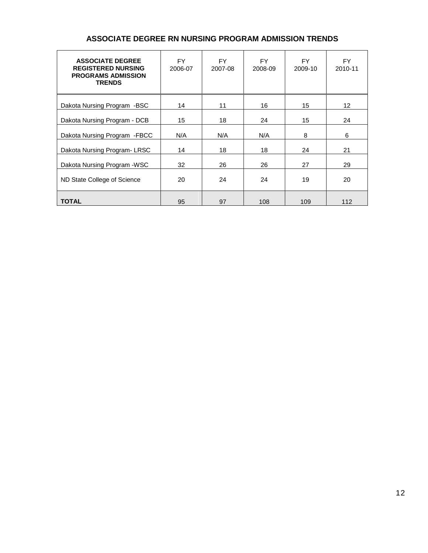| <b>ASSOCIATE DEGREE</b><br><b>REGISTERED NURSING</b><br><b>PROGRAMS ADMISSION</b><br><b>TRENDS</b> | FY.<br>2006-07 | FY.<br>2007-08 | FY.<br>2008-09 | FY.<br>2009-10 | FY.<br>2010-11 |
|----------------------------------------------------------------------------------------------------|----------------|----------------|----------------|----------------|----------------|
| Dakota Nursing Program -BSC                                                                        | 14             | 11             | 16             | 15             | 12             |
| Dakota Nursing Program - DCB                                                                       | 15             | 18             | 24             | 15             | 24             |
| Dakota Nursing Program - FBCC                                                                      | N/A            | N/A            | N/A            | 8              | 6              |
| Dakota Nursing Program-LRSC                                                                        | 14             | 18             | 18             | 24             | 21             |
| Dakota Nursing Program - WSC                                                                       | 32             | 26             | 26             | 27             | 29             |
| ND State College of Science                                                                        | 20             | 24             | 24             | 19             | 20             |
| <b>TOTAL</b>                                                                                       | 95             | 97             | 108            | 109            | 112            |

# **ASSOCIATE DEGREE RN NURSING PROGRAM ADMISSION TRENDS**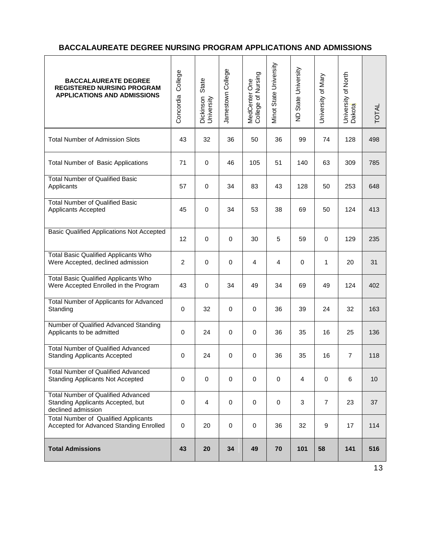# **BACCALAUREATE DEGREE NURSING PROGRAM APPLICATIONS AND ADMISSIONS**

| <b>BACCALAUREATE DEGREE</b><br><b>REGISTERED NURSING PROGRAM</b><br><b>APPLICATIONS AND ADMISSIONS</b> | College<br>Concordia | State<br>Dickinson<br>University | Jamestown College | MedCenter One<br>College of Nursing | Vinot State University | ND State University | University of Mary | University of North<br>Dakota | <b>TOTAL</b> |
|--------------------------------------------------------------------------------------------------------|----------------------|----------------------------------|-------------------|-------------------------------------|------------------------|---------------------|--------------------|-------------------------------|--------------|
| <b>Total Number of Admission Slots</b>                                                                 | 43                   | 32                               | 36                | 50                                  | 36                     | 99                  | 74                 | 128                           | 498          |
| <b>Total Number of Basic Applications</b>                                                              | 71                   | $\mathbf 0$                      | 46                | 105                                 | 51                     | 140                 | 63                 | 309                           | 785          |
| <b>Total Number of Qualified Basic</b><br>Applicants                                                   | 57                   | $\mathbf 0$                      | 34                | 83                                  | 43                     | 128                 | 50                 | 253                           | 648          |
| <b>Total Number of Qualified Basic</b><br><b>Applicants Accepted</b>                                   | 45                   | $\mathbf 0$                      | 34                | 53                                  | 38                     | 69                  | 50                 | 124                           | 413          |
| <b>Basic Qualified Applications Not Accepted</b>                                                       | 12                   | $\mathbf 0$                      | $\mathbf 0$       | 30                                  | 5                      | 59                  | $\mathbf 0$        | 129                           | 235          |
| <b>Total Basic Qualified Applicants Who</b><br>Were Accepted, declined admission                       | $\overline{c}$       | $\mathbf 0$                      | $\mathbf 0$       | 4                                   | $\overline{4}$         | $\mathbf 0$         | 1                  | 20                            | 31           |
| <b>Total Basic Qualified Applicants Who</b><br>Were Accepted Enrolled in the Program                   | 43                   | $\mathbf 0$                      | 34                | 49                                  | 34                     | 69                  | 49                 | 124                           | 402          |
| Total Number of Applicants for Advanced<br>Standing                                                    | 0                    | 32                               | $\mathbf 0$       | 0                                   | 36                     | 39                  | 24                 | 32                            | 163          |
| Number of Qualified Advanced Standing<br>Applicants to be admitted                                     | 0                    | 24                               | $\mathbf 0$       | $\mathbf 0$                         | 36                     | 35                  | 16                 | 25                            | 136          |
| <b>Total Number of Qualified Advanced</b><br><b>Standing Applicants Accepted</b>                       | 0                    | 24                               | $\mathbf 0$       | 0                                   | 36                     | 35                  | 16                 | $\overline{7}$                | 118          |
| Total Number of Qualified Advanced<br><b>Standing Applicants Not Accepted</b>                          | 0                    | $\mathbf 0$                      | $\mathbf 0$       | $\Omega$                            | $\mathbf 0$            | 4                   | $\mathbf 0$        | 6                             | 10           |
| <b>Total Number of Qualified Advanced</b><br>Standing Applicants Accepted, but<br>declined admission   | $\mathbf 0$          | $\overline{4}$                   | $\mathbf 0$       | $\mathbf 0$                         | $\mathbf 0$            | 3                   | $\overline{7}$     | 23                            | 37           |
| <b>Total Number of Qualified Applicants</b><br>Accepted for Advanced Standing Enrolled                 | 0                    | 20                               | $\mathbf 0$       | 0                                   | 36                     | 32                  | 9                  | 17                            | 114          |
| <b>Total Admissions</b>                                                                                | 43                   | 20                               | 34                | 49                                  | 70                     | 101                 | 58                 | 141                           | 516          |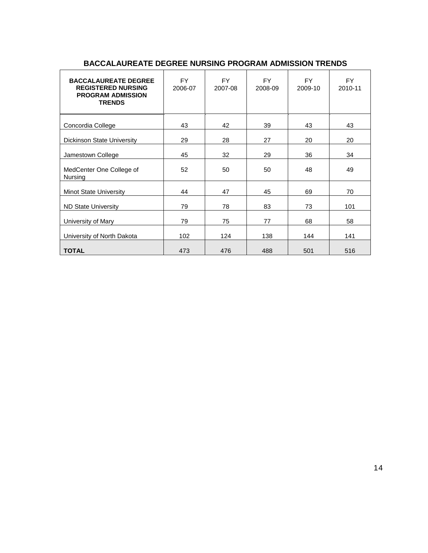| <b>BACCALAUREATE DEGREE</b><br><b>REGISTERED NURSING</b><br><b>PROGRAM ADMISSION</b><br><b>TRENDS</b> | <b>FY</b><br>2006-07 | FY.<br>2007-08 | <b>FY</b><br>2008-09 | <b>FY</b><br>2009-10 | <b>FY</b><br>2010-11 |
|-------------------------------------------------------------------------------------------------------|----------------------|----------------|----------------------|----------------------|----------------------|
| Concordia College                                                                                     | 43                   | 42             | 39                   | 43                   | 43                   |
| Dickinson State University                                                                            | 29                   | 28             | 27                   | 20                   | 20                   |
| Jamestown College                                                                                     | 45                   | 32             | 29                   | 36                   | 34                   |
| MedCenter One College of<br>Nursing                                                                   | 52                   | 50             | 50                   | 48                   | 49                   |
| <b>Minot State University</b>                                                                         | 44                   | 47             | 45                   | 69                   | 70                   |
| <b>ND State University</b>                                                                            | 79                   | 78             | 83                   | 73                   | 101                  |
| University of Mary                                                                                    | 79                   | 75             | 77                   | 68                   | 58                   |
| University of North Dakota                                                                            | 102                  | 124            | 138                  | 144                  | 141                  |
| <b>TOTAL</b>                                                                                          | 473                  | 476            | 488                  | 501                  | 516                  |

# **BACCALAUREATE DEGREE NURSING PROGRAM ADMISSION TRENDS**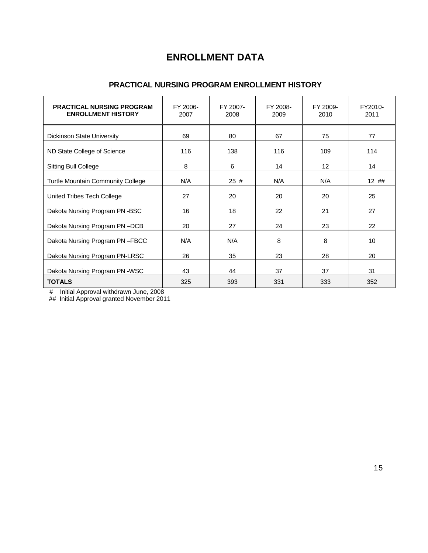# **ENROLLMENT DATA**

### **PRACTICAL NURSING PROGRAM ENROLLMENT HISTORY**

| <b>PRACTICAL NURSING PROGRAM</b><br><b>ENROLLMENT HISTORY</b> | FY 2006-<br>2007 | FY 2007-<br>2008 | FY 2008-<br>2009 | FY 2009-<br>2010 | FY2010-<br>2011 |
|---------------------------------------------------------------|------------------|------------------|------------------|------------------|-----------------|
| <b>Dickinson State University</b>                             | 69               | 80               | 67               | 75               | 77              |
| ND State College of Science                                   | 116              | 138              | 116              | 109              | 114             |
| <b>Sitting Bull College</b>                                   | 8                | 6                | 14               | 12 <sub>2</sub>  | 14              |
| <b>Turtle Mountain Community College</b>                      | N/A              | 25#              | N/A              | N/A              | 12##            |
| United Tribes Tech College                                    | 27               | 20               | 20               | 20               | 25              |
| Dakota Nursing Program PN-BSC                                 | 16               | 18               | 22               | 21               | 27              |
| Dakota Nursing Program PN-DCB                                 | 20               | 27               | 24               | 23               | 22              |
| Dakota Nursing Program PN-FBCC                                | N/A              | N/A              | 8                | 8                | 10              |
| Dakota Nursing Program PN-LRSC                                | 26               | 35               | 23               | 28               | 20              |
| Dakota Nursing Program PN -WSC                                | 43               | 44               | 37               | 37               | 31              |
| <b>TOTALS</b>                                                 | 325              | 393              | 331              | 333              | 352             |

# Initial Approval withdrawn June, 2008

## Initial Approval granted November 2011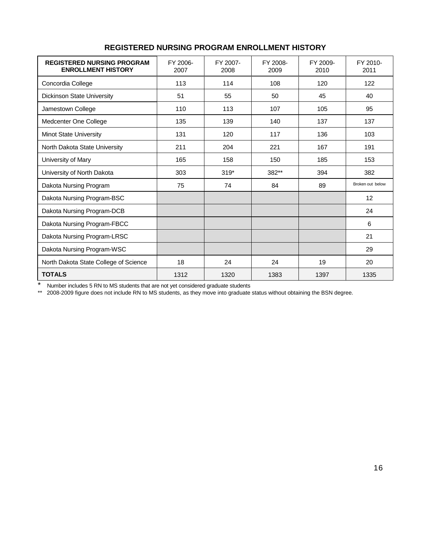| <b>REGISTERED NURSING PROGRAM</b><br><b>ENROLLMENT HISTORY</b> | FY 2006-<br>2007 | FY 2007-<br>2008 | FY 2008-<br>2009 | FY 2009-<br>2010 | FY 2010-<br>2011 |
|----------------------------------------------------------------|------------------|------------------|------------------|------------------|------------------|
| Concordia College                                              | 113              | 114              | 108              | 120              | 122              |
| Dickinson State University                                     | 51               | 55               | 50               | 45               | 40               |
| Jamestown College                                              | 110              | 113              | 107              | 105              | 95               |
| Medcenter One College                                          | 135              | 139              | 140              | 137              | 137              |
| Minot State University                                         | 131              | 120              | 117              | 136              | 103              |
| North Dakota State University                                  | 211              | 204              | 221              | 167              | 191              |
| University of Mary                                             | 165              | 158              | 150              | 185              | 153              |
| University of North Dakota                                     | 303              | $319*$           | 382**            | 394              | 382              |
| Dakota Nursing Program                                         | 75               | 74               | 84               | 89               | Broken out below |
| Dakota Nursing Program-BSC                                     |                  |                  |                  |                  | 12               |
| Dakota Nursing Program-DCB                                     |                  |                  |                  |                  | 24               |
| Dakota Nursing Program-FBCC                                    |                  |                  |                  |                  | 6                |
| Dakota Nursing Program-LRSC                                    |                  |                  |                  |                  | 21               |
| Dakota Nursing Program-WSC                                     |                  |                  |                  |                  | 29               |
| North Dakota State College of Science                          | 18               | 24               | 24               | 19               | 20               |
| <b>TOTALS</b>                                                  | 1312             | 1320             | 1383             | 1397             | 1335             |

# **REGISTERED NURSING PROGRAM ENROLLMENT HISTORY**

\* Number includes 5 RN to MS students that are not yet considered graduate students

\*\* 2008-2009 figure does not include RN to MS students, as they move into graduate status without obtaining the BSN degree.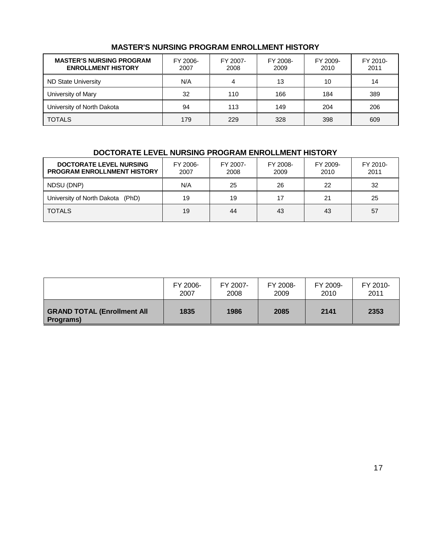### **MASTER'S NURSING PROGRAM ENROLLMENT HISTORY**

| <b>MASTER'S NURSING PROGRAM</b><br><b>ENROLLMENT HISTORY</b> | FY 2006-<br>2007 | FY 2007-<br>2008 | FY 2008-<br>2009 | FY 2009-<br>2010 | FY 2010-<br>2011 |
|--------------------------------------------------------------|------------------|------------------|------------------|------------------|------------------|
| <b>ND State University</b>                                   | N/A              | 4                | 13               | 10               | 14               |
| University of Mary                                           | 32               | 110              | 166              | 184              | 389              |
| University of North Dakota                                   | 94               | 113              | 149              | 204              | 206              |
| <b>TOTALS</b>                                                | 179              | 229              | 328              | 398              | 609              |

# **DOCTORATE LEVEL NURSING PROGRAM ENROLLMENT HISTORY**

| <b>DOCTORATE LEVEL NURSING</b><br><b>PROGRAM ENROLLNMENT HISTORY</b> | FY 2006-<br>2007 | FY 2007-<br>2008 | FY 2008-<br>2009 | FY 2009-<br>2010 | FY 2010-<br>2011 |
|----------------------------------------------------------------------|------------------|------------------|------------------|------------------|------------------|
| NDSU (DNP)                                                           | N/A              | 25               | 26               | 22               | 32               |
| University of North Dakota (PhD)                                     | 19               | 19               | 17               | 21               | 25               |
| <b>TOTALS</b>                                                        | 19               | 44               | 43               | 43               | 57               |

|                                                 | FY 2006- | FY 2007- | FY 2008- | FY 2009- | FY 2010- |
|-------------------------------------------------|----------|----------|----------|----------|----------|
|                                                 | 2007     | 2008     | 2009     | 2010     | 2011     |
| <b>GRAND TOTAL (Enrollment All</b><br>Programs) | 1835     | 1986     | 2085     | 2141     | 2353     |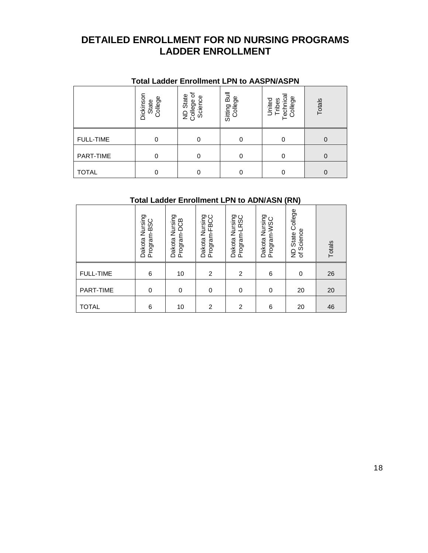# **DETAILED ENROLLMENT FOR ND NURSING PROGRAMS LADDER ENROLLMENT**

|                  | <b>Total Ladder Enrollment LPN to AASPN/ASPN</b> |                                             |                         |                         |          |
|------------------|--------------------------------------------------|---------------------------------------------|-------------------------|-------------------------|----------|
|                  | Dickinson<br>State<br>College                    | ৳<br>State<br>Science<br>ND Stat<br>College | Sitting Bull<br>College | College<br>United<br>ēΩ | Totals   |
| <b>FULL-TIME</b> | $\Omega$                                         |                                             | 0                       | 0                       | $\Omega$ |
| PART-TIME        | 0                                                | 0                                           | 0                       | 0                       | $\Omega$ |
| <b>TOTAL</b>     | 0                                                |                                             | 0                       | 0                       | 0        |

# **Total Ladder Enrollment LPN to ADN/ASN (RN)**

|                  | Dakota Nursing<br>Program-BSC | Nursing<br>Program-DCB<br>Dakota | Dakota Nursing<br>Program-FBCC | Dakota Nursing<br>Program-LRSC | Dakota Nursing<br>Program-WSC | College<br>of Science<br>State<br>$\frac{\Omega}{Z}$ | Totals |
|------------------|-------------------------------|----------------------------------|--------------------------------|--------------------------------|-------------------------------|------------------------------------------------------|--------|
| <b>FULL-TIME</b> | 6                             | 10                               | 2                              | 2                              | 6                             | 0                                                    | 26     |
| PART-TIME        | 0                             | $\mathbf 0$                      | 0                              | 0                              | 0                             | 20                                                   | 20     |
| <b>TOTAL</b>     | 6                             | 10                               | 2                              | 2                              | 6                             | 20                                                   | 46     |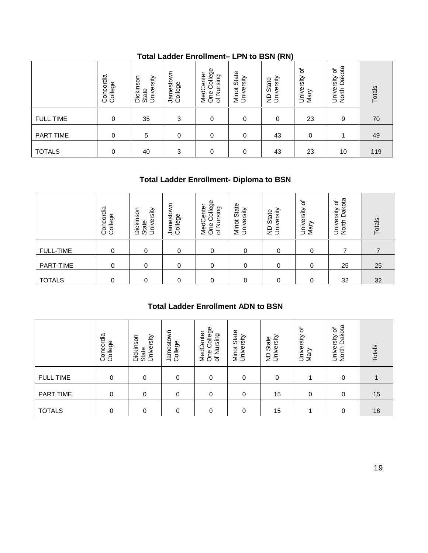|                  |                      |                                  | $19001$ casset convincent |                                                                       |                                   | ויירון יויטש טו יום    |                         |                                    |        |
|------------------|----------------------|----------------------------------|---------------------------|-----------------------------------------------------------------------|-----------------------------------|------------------------|-------------------------|------------------------------------|--------|
|                  | Concordia<br>College | State<br>University<br>Dickinson | Jamestown<br>College      | College<br>MedCenter<br>One College<br>Nursing<br>$\overline{\sigma}$ | State<br>Minot Stat<br>University | ND State<br>University | ৳<br>University<br>Mary | Dakota<br>৳<br>University<br>North | Totals |
| <b>FULL TIME</b> | $\Omega$             | 35                               | 3                         | 0                                                                     | 0                                 | $\Omega$               | 23                      | 9                                  | 70     |
| PART TIME        | $\mathbf 0$          | 5                                | 0                         | $\mathbf 0$                                                           | 0                                 | 43                     | 0                       |                                    | 49     |
| <b>TOTALS</b>    | $\Omega$             | 40                               | 3                         | $\Omega$                                                              | 0                                 | 43                     | 23                      | 10                                 | 119    |

# **Total Ladder Enrollment– LPN to BSN (RN)**

# **Total Ladder Enrollment- Diploma to BSN**

|                  | oncordia<br>allege<br>00 | University<br>nson<br>Dickir<br>State | Jamestown<br>College | College<br>enter<br>ursing<br>MedC<br><b>One</b><br>⇁<br>∠<br>৳ | State<br>rsity<br>Minot<br>Univer | ersity<br>State<br>ξŝ | ৳<br>University<br>Mary | Dakota<br>৳<br>University<br>North | Totals |
|------------------|--------------------------|---------------------------------------|----------------------|-----------------------------------------------------------------|-----------------------------------|-----------------------|-------------------------|------------------------------------|--------|
| <b>FULL-TIME</b> | 0                        | 0                                     | 0                    | 0                                                               | 0                                 | 0                     | 0                       |                                    |        |
| PART-TIME        | 0                        | 0                                     | 0                    | $\Omega$                                                        | 0                                 | 0                     | 0                       | 25                                 | 25     |
| <b>TOTALS</b>    | 0                        | $\Omega$                              | 0                    | ∩                                                               | 0                                 | $\Omega$              | 0                       | 32                                 | 32     |

# **Total Ladder Enrollment ADN to BSN**

|                  | Concordia<br>College | Dickinson<br>University<br>State | Jamestown<br>College                      | One College<br>MedCenter<br>of Nursing | Minot State<br>University | ND State<br>University | University of<br>Mary | North Dakota<br>University of | Totals           |
|------------------|----------------------|----------------------------------|-------------------------------------------|----------------------------------------|---------------------------|------------------------|-----------------------|-------------------------------|------------------|
| <b>FULL-TIME</b> | $\pmb{0}$            | $\pmb{0}$                        | 0                                         | $\pmb{0}$                              | $\mathbf 0$               | $\pmb{0}$              | 0                     | $\overline{7}$                | $\boldsymbol{7}$ |
| PART-TIME        | 0                    | $\pmb{0}$                        | 0                                         | $\mathbf 0$                            | $\mathbf 0$               | $\mathbf 0$            | 0                     | 25                            | 25               |
| <b>TOTALS</b>    | 0                    | 0                                | 0                                         | 0                                      | $\mathbf 0$               | $\mathbf 0$            | 0                     | 32                            | 32               |
|                  |                      |                                  | <b>Total Ladder Enrollment ADN to BSN</b> |                                        |                           |                        |                       |                               |                  |
|                  | Concordia<br>College | Dickinson<br>University<br>State | Jamestown<br>College                      | One College<br>MedCenter<br>of Nursing | Minot State<br>University | ND State<br>University | University of<br>Mary | North Dakota<br>University of | Totals           |
| <b>FULL TIME</b> | 0                    | 0                                | $\mathbf 0$                               | 0                                      | $\mathbf 0$               | $\pmb{0}$              | 1                     | 0                             | 1                |
| <b>PART TIME</b> | 0                    | $\mathbf 0$                      | $\mathbf 0$                               | $\mathbf 0$                            | 0                         | 15                     | $\mathbf 0$           | 0                             | 15               |
| <b>TOTALS</b>    | 0                    | $\pmb{0}$                        | 0                                         | $\pmb{0}$                              | 0                         | 15                     | 1                     | 0                             | 16               |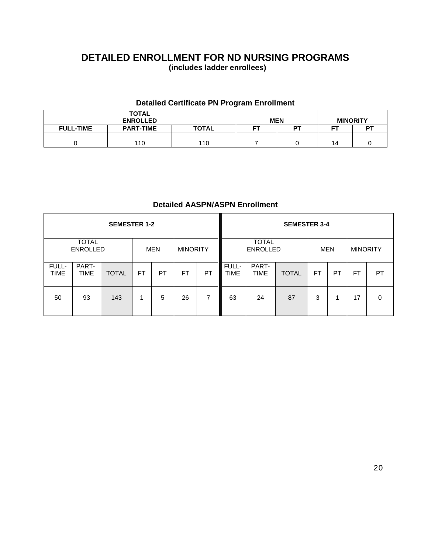# **DETAILED ENROLLMENT FOR ND NURSING PROGRAMS (includes ladder enrollees)**

# **Detailed Certificate PN Program Enrollment**

|                  | <b>TOTAL</b><br><b>ENROLLED</b> |              | <b>MEN</b> |    | <b>MINORITY</b> |     |
|------------------|---------------------------------|--------------|------------|----|-----------------|-----|
| <b>FULL-TIME</b> | <b>PART-TIME</b>                | <b>TOTAL</b> | ᇊ          | DТ | --              | DT. |
|                  |                                 |              |            |    |                 |     |
|                  | 110                             | 110          |            |    | 14              |     |

# **Detailed AASPN/ASPN Enrollment**

|                      |                                 | <b>SEMESTER 1-2</b> |     |            |                 |    |                      |                                 | <b>SEMESTER 3-4</b> |            |    |                 |           |
|----------------------|---------------------------------|---------------------|-----|------------|-----------------|----|----------------------|---------------------------------|---------------------|------------|----|-----------------|-----------|
|                      | <b>TOTAL</b><br><b>ENROLLED</b> |                     |     | <b>MEN</b> | <b>MINORITY</b> |    |                      | <b>TOTAL</b><br><b>ENROLLED</b> |                     | <b>MEN</b> |    | <b>MINORITY</b> |           |
| FULL-<br><b>TIME</b> | PART-<br>TIME                   | <b>TOTAL</b>        | FT. | PT         | <b>FT</b>       | PT | FULL-<br><b>TIME</b> | PART-<br><b>TIME</b>            | <b>TOTAL</b>        | <b>FT</b>  | PT | <b>FT</b>       | <b>PT</b> |
| 50                   | 93                              | 143                 |     | 5          | 26              | 7  | 63                   | 24                              | 87                  | 3          | 1  | 17              | $\Omega$  |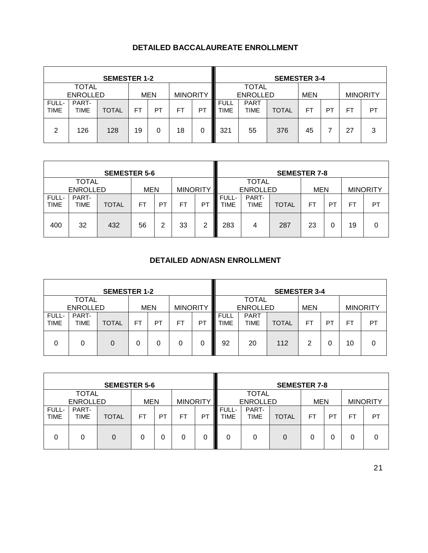# **DETAILED BACCALAUREATE ENROLLMENT**

|                      |                                 | <b>SEMESTER 1-2</b> |           |            |                 |    |                            |                                 | <b>SEMESTER 3-4</b> |            |    |                 |    |
|----------------------|---------------------------------|---------------------|-----------|------------|-----------------|----|----------------------------|---------------------------------|---------------------|------------|----|-----------------|----|
|                      | <b>TOTAL</b><br><b>ENROLLED</b> |                     |           | <b>MEN</b> | <b>MINORITY</b> |    |                            | <b>TOTAL</b><br><b>ENROLLED</b> |                     | <b>MEN</b> |    | <b>MINORITY</b> |    |
| FULL-<br><b>TIME</b> | PART-<br><b>TIME</b>            | <b>TOTAL</b>        | <b>FT</b> | PT         | FT              | P7 | <b>FULL</b><br><b>TIME</b> | <b>PART</b><br><b>TIME</b>      | <b>TOTAL</b>        | FT         | PT | F1              | PT |
| 2                    | 126                             | 128                 | 19        | 0          | 18              | 0  | 321                        | 55                              | 376                 | 45         |    | 27              | 3  |

| <b>SEMESTER 5-6</b>  |                 |              |            |    |                 |    |                      |                      | <b>SEMESTER 7-8</b> |            |                |    |                 |
|----------------------|-----------------|--------------|------------|----|-----------------|----|----------------------|----------------------|---------------------|------------|----------------|----|-----------------|
|                      | <b>TOTAL</b>    |              |            |    |                 |    |                      | <b>TOTAL</b>         |                     |            |                |    |                 |
|                      | <b>ENROLLED</b> |              | <b>MEN</b> |    | <b>MINORITY</b> |    |                      | <b>ENROLLED</b>      |                     | <b>MEN</b> |                |    | <b>MINORITY</b> |
| FULL-<br><b>TIME</b> | PART-<br>TIME   | <b>TOTAL</b> | FΤ         | PT | FT              | PT | <b>FULL-</b><br>TIME | PART-<br><b>TIME</b> | <b>TOTAL</b>        | FT         | P <sub>1</sub> | FT | PT              |
| 400                  | 32              | 432          | 56         | 2  | 33              | 2  | 283                  | 4                    | 287                 | 23         | 0              | 19 | 0               |

# **DETAILED ADN/ASN ENROLLMENT**

| <b>SEMESTER 1-2</b>  |                                 |              |           |            |                 |    | <b>SEMESTER 3-4</b>        |                            |              |                 |    |           |    |
|----------------------|---------------------------------|--------------|-----------|------------|-----------------|----|----------------------------|----------------------------|--------------|-----------------|----|-----------|----|
|                      | <b>TOTAL</b><br><b>ENROLLED</b> |              |           | <b>MEN</b> | <b>MINORITY</b> |    | <b>ENROLLED</b>            | <b>MEN</b>                 |              | <b>MINORITY</b> |    |           |    |
| FULL-<br><b>TIME</b> | PART-<br>TIME                   | <b>TOTAL</b> | <b>FT</b> | <b>PT</b>  | FT              | P1 | <b>FULL</b><br><b>TIME</b> | <b>PART</b><br><b>TIME</b> | <b>TOTAL</b> | <b>FT</b>       | PT | <b>FT</b> | PT |
| 0                    | 0                               | 0            | 0         | 0          |                 | 0  | 92                         | 20                         | 112          | 2               | 0  | 10        |    |

|                      |                                 | <b>SEMESTER 5-6</b> |            |           |                 |    |                      |                                 | <b>SEMESTER 7-8</b> |            |                |                |                 |
|----------------------|---------------------------------|---------------------|------------|-----------|-----------------|----|----------------------|---------------------------------|---------------------|------------|----------------|----------------|-----------------|
|                      | <b>TOTAL</b><br><b>ENROLLED</b> |                     | <b>MEN</b> |           | <b>MINORITY</b> |    |                      | <b>TOTAL</b><br><b>ENROLLED</b> |                     | <b>MEN</b> |                |                | <b>MINORITY</b> |
| FULL-<br><b>TIME</b> | PART-<br><b>TIME</b>            | <b>TOTAL</b>        | FΤ         | <b>PT</b> | FT              | PT | FULL-<br><b>TIME</b> | PART-<br><b>TIME</b>            | <b>TOTAL</b>        | FT         | P <sub>1</sub> | F <sub>T</sub> | PT              |
| 0                    | 0                               |                     |            | O         | 0               | 0  | 0                    | 0                               | 0                   | 0          |                |                |                 |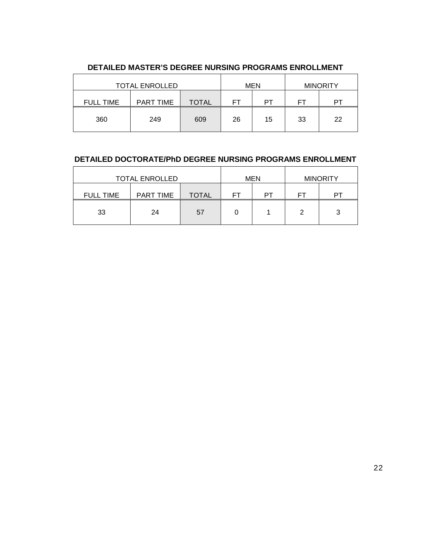| <b>TOTAL ENROLLED</b> |                  | MEN          | <b>MINORITY</b> |    |    |    |
|-----------------------|------------------|--------------|-----------------|----|----|----|
| <b>FULL TIME</b>      | <b>PART TIME</b> | <b>TOTAL</b> | FT              | PT | FT | PТ |
| 360                   | 249              | 609          | 26              | 15 | 33 | 22 |

### **DETAILED MASTER'S DEGREE NURSING PROGRAMS ENROLLMENT**

# **DETAILED DOCTORATE/PhD DEGREE NURSING PROGRAMS ENROLLMENT**

| <b>TOTAL ENROLLED</b> |           |              | <b>MEN</b> |    | <b>MINORITY</b> |    |
|-----------------------|-----------|--------------|------------|----|-----------------|----|
| <b>FULL TIME</b>      | PART TIME | <b>TOTAL</b> | FГ         | PТ | FТ              | PТ |
| 33                    | 24        | 57           |            |    | っ               | 3  |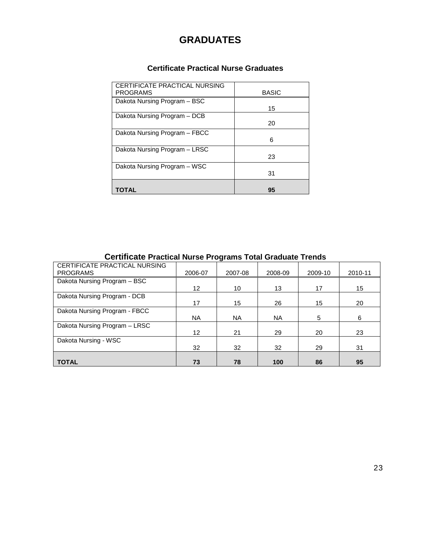# **GRADUATES**

# **Certificate Practical Nurse Graduates**

| CERTIFICATE PRACTICAL NURSING<br><b>PROGRAMS</b> | <b>BASIC</b> |
|--------------------------------------------------|--------------|
| Dakota Nursing Program - BSC                     | 15           |
| Dakota Nursing Program - DCB                     | 20           |
| Dakota Nursing Program - FBCC                    | 6            |
| Dakota Nursing Program - LRSC                    | 23           |
| Dakota Nursing Program - WSC                     | 31           |
| TOTAL                                            | 95           |

# **Certificate Practical Nurse Programs Total Graduate Trends**

| CERTIFICATE PRACTICAL NURSING |                   |           |           |         |         |
|-------------------------------|-------------------|-----------|-----------|---------|---------|
| <b>PROGRAMS</b>               | 2006-07           | 2007-08   | 2008-09   | 2009-10 | 2010-11 |
| Dakota Nursing Program - BSC  |                   |           |           |         |         |
|                               | $12 \overline{ }$ | 10        | 13        | 17      | 15      |
| Dakota Nursing Program - DCB  |                   |           |           |         |         |
|                               | 17                | 15        | 26        | 15      | 20      |
| Dakota Nursing Program - FBCC |                   |           |           |         |         |
|                               | NA.               | <b>NA</b> | <b>NA</b> | 5       | 6       |
| Dakota Nursing Program - LRSC |                   |           |           |         |         |
|                               | 12                | 21        | 29        | 20      | 23      |
| Dakota Nursing - WSC          |                   |           |           |         |         |
|                               | 32                | 32        | 32        | 29      | 31      |
|                               |                   |           |           |         |         |
| <b>TOTAL</b>                  | 73                | 78        | 100       | 86      | 95      |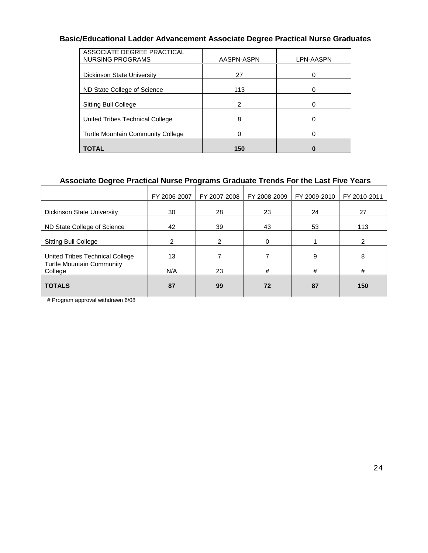# **Basic/Educational Ladder Advancement Associate Degree Practical Nurse Graduates**

| ASSOCIATE DEGREE PRACTICAL               |            |           |
|------------------------------------------|------------|-----------|
| <b>NURSING PROGRAMS</b>                  | AASPN-ASPN | LPN-AASPN |
|                                          |            |           |
| Dickinson State University               | 27         | 0         |
|                                          |            |           |
| ND State College of Science              | 113        |           |
|                                          |            |           |
| <b>Sitting Bull College</b>              | 2          |           |
|                                          |            |           |
| United Tribes Technical College          | 8          |           |
|                                          |            |           |
| <b>Turtle Mountain Community College</b> |            | 0         |
|                                          |            |           |
| <b>TOTAL</b>                             | 150        |           |

# **Associate Degree Practical Nurse Programs Graduate Trends For the Last Five Years**

|                                             | FY 2006-2007 | FY 2007-2008 | FY 2008-2009 | FY 2009-2010 | FY 2010-2011 |
|---------------------------------------------|--------------|--------------|--------------|--------------|--------------|
| Dickinson State University                  | 30           | 28           | 23           | 24           | 27           |
| ND State College of Science                 | 42           | 39           | 43           | 53           | 113          |
| <b>Sitting Bull College</b>                 | 2            | 2            | $\Omega$     |              | 2            |
| United Tribes Technical College             | 13           |              |              | 9            | 8            |
| <b>Turtle Mountain Community</b><br>College | N/A          | 23           | #            | #            | #            |
| <b>TOTALS</b>                               | 87           | 99           | 72           | 87           | 150          |

# Program approval withdrawn 6/08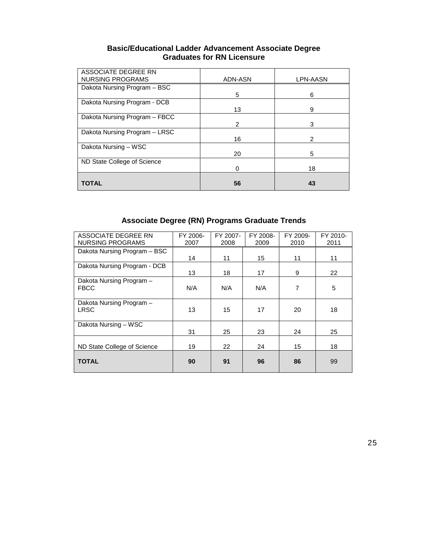| <b>Basic/Educational Ladder Advancement Associate Degree</b> |
|--------------------------------------------------------------|
| <b>Graduates for RN Licensure</b>                            |

| ASSOCIATE DEGREE RN<br><b>NURSING PROGRAMS</b> | ADN-ASN | LPN-AASN |
|------------------------------------------------|---------|----------|
| Dakota Nursing Program - BSC                   |         |          |
| Dakota Nursing Program - DCB                   | 5       | 6        |
|                                                | 13      | 9        |
| Dakota Nursing Program - FBCC                  |         |          |
|                                                | 2       | 3        |
| Dakota Nursing Program - LRSC                  |         |          |
|                                                | 16      | 2        |
| Dakota Nursing - WSC                           |         |          |
|                                                | 20      | 5        |
| ND State College of Science                    |         |          |
|                                                | Ω       | 18       |
|                                                |         |          |
| TOTAL                                          | 56      | 43       |

# **Associate Degree (RN) Programs Graduate Trends**

| ASSOCIATE DEGREE RN          | FY 2006- | FY 2007- | FY 2008- | FY 2009- | FY 2010- |
|------------------------------|----------|----------|----------|----------|----------|
| <b>NURSING PROGRAMS</b>      | 2007     | 2008     | 2009     | 2010     | 2011     |
| Dakota Nursing Program - BSC |          |          |          |          |          |
|                              | 14       | 11       | 15       | 11       | 11       |
| Dakota Nursing Program - DCB |          |          |          |          |          |
|                              | 13       | 18       | 17       | 9        | 22       |
| Dakota Nursing Program -     |          |          |          |          |          |
| <b>FBCC</b>                  | N/A      | N/A      | N/A      | 7        | 5        |
|                              |          |          |          |          |          |
| Dakota Nursing Program -     |          |          |          |          |          |
| LRSC                         | 13       | 15       | 17       | 20       | 18       |
|                              |          |          |          |          |          |
| Dakota Nursing - WSC         |          |          |          |          |          |
|                              | 31       | 25       | 23       | 24       | 25       |
|                              |          |          |          |          |          |
| ND State College of Science  | 19       | 22       | 24       | 15       | 18       |
|                              |          |          |          |          |          |
| <b>TOTAL</b>                 | 90       | 91       | 96       | 86       | 99       |
|                              |          |          |          |          |          |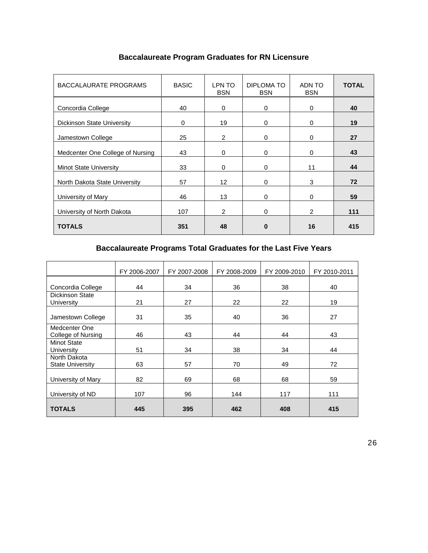| <b>BACCALAURATE PROGRAMS</b>     | <b>BASIC</b> | LPN TO<br><b>BSN</b> | DIPLOMA TO<br><b>BSN</b> | ADN TO<br><b>BSN</b> | <b>TOTAL</b> |
|----------------------------------|--------------|----------------------|--------------------------|----------------------|--------------|
| Concordia College                | 40           | $\Omega$             | $\Omega$                 | 0                    | 40           |
| Dickinson State University       | 0            | 19                   | $\Omega$                 | 0                    | 19           |
| Jamestown College                | 25           | $\overline{2}$       | $\Omega$                 | 0                    | 27           |
| Medcenter One College of Nursing | 43           | $\Omega$             | $\Omega$                 | 0                    | 43           |
| <b>Minot State University</b>    | 33           | $\Omega$             | $\Omega$                 | 11                   | 44           |
| North Dakota State University    | 57           | 12                   | $\Omega$                 | 3                    | 72           |
| University of Mary               | 46           | 13                   | $\Omega$                 | $\Omega$             | 59           |
| University of North Dakota       | 107          | $\overline{2}$       | $\Omega$                 | 2                    | 111          |
| <b>TOTALS</b>                    | 351          | 48                   | $\bf{0}$                 | 16                   | 415          |

# **Baccalaureate Program Graduates for RN Licensure**

# **Baccalaureate Programs Total Graduates for the Last Five Years**

|                                         | FY 2006-2007 | FY 2007-2008 | FY 2008-2009 | FY 2009-2010 | FY 2010-2011 |
|-----------------------------------------|--------------|--------------|--------------|--------------|--------------|
| Concordia College                       | 44           | 34           | 36           | 38           | 40           |
| <b>Dickinson State</b><br>University    | 21           | 27           | 22           | 22           | 19           |
| Jamestown College                       | 31           | 35           | 40           | 36           | 27           |
| Medcenter One<br>College of Nursing     | 46           | 43           | 44           | 44           | 43           |
| Minot State<br>University               | 51           | 34           | 38           | 34           | 44           |
| North Dakota<br><b>State University</b> | 63           | 57           | 70           | 49           | 72           |
| University of Mary                      | 82           | 69           | 68           | 68           | 59           |
| University of ND                        | 107          | 96           | 144          | 117          | 111          |
| <b>TOTALS</b>                           | 445          | 395          | 462          | 408          | 415          |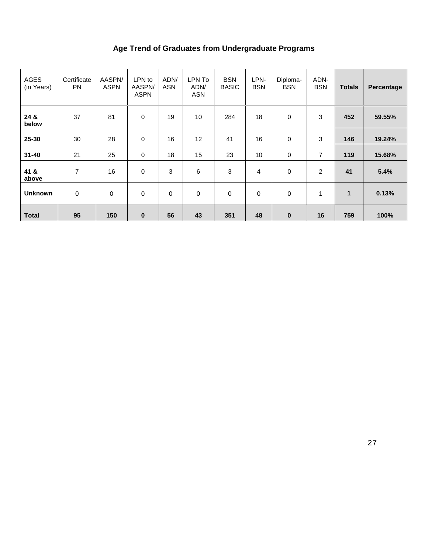# **Age Trend of Graduates from Undergraduate Programs**

| <b>AGES</b><br>(in Years) | Certificate<br><b>PN</b> | AASPN/<br><b>ASPN</b> | LPN to<br>AASPN/<br><b>ASPN</b> | ADN/<br>ASN | LPN To<br>ADN/<br>ASN | <b>BSN</b><br><b>BASIC</b> | LPN-<br><b>BSN</b> | Diploma-<br><b>BSN</b> | ADN-<br><b>BSN</b> | <b>Totals</b> | Percentage |
|---------------------------|--------------------------|-----------------------|---------------------------------|-------------|-----------------------|----------------------------|--------------------|------------------------|--------------------|---------------|------------|
| 24 &<br>below             | 37                       | 81                    | $\mathbf 0$                     | 19          | 10                    | 284                        | 18                 | 0                      | 3                  | 452           | 59.55%     |
| 25-30                     | 30                       | 28                    | $\mathbf 0$                     | 16          | 12                    | 41                         | 16                 | 0                      | 3                  | 146           | 19.24%     |
| $31 - 40$                 | 21                       | 25                    | $\mathbf 0$                     | 18          | 15                    | 23                         | 10                 | 0                      | 7                  | 119           | 15.68%     |
| 41 &<br>above             | 7                        | 16                    | $\pmb{0}$                       | 3           | 6                     | 3                          | 4                  | 0                      | $\overline{c}$     | 41            | 5.4%       |
| <b>Unknown</b>            | 0                        | $\mathbf 0$           | $\mathbf 0$                     | 0           | 0                     | $\mathbf 0$                | 0                  | 0                      | 1                  | 1             | 0.13%      |
| <b>Total</b>              | 95                       | 150                   | $\bf{0}$                        | 56          | 43                    | 351                        | 48                 | $\bf{0}$               | 16                 | 759           | 100%       |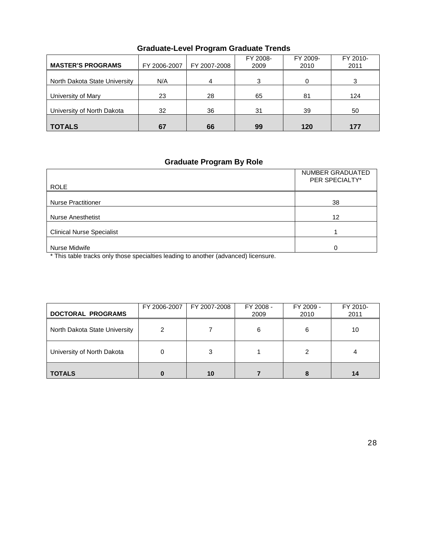| <b>MASTER'S PROGRAMS</b>      | FY 2006-2007 | FY 2007-2008 | FY 2008-<br>2009 | FY 2009-<br>2010 | FY 2010-<br>2011 |
|-------------------------------|--------------|--------------|------------------|------------------|------------------|
| North Dakota State University | N/A          | 4            | 3                | 0                |                  |
| University of Mary            | 23           | 28           | 65               | 81               | 124              |
| University of North Dakota    | 32           | 36           | 31               | 39               | 50               |
| <b>TOTALS</b>                 | 67           | 66           | 99               | 120              | 177              |

# **Graduate-Level Program Graduate Trends**

# **Graduate Program By Role**

| <b>ROLE</b>                      | NUMBER GRADUATED<br>PER SPECIALTY* |
|----------------------------------|------------------------------------|
| <b>Nurse Practitioner</b>        | 38                                 |
| <b>Nurse Anesthetist</b>         | 12                                 |
| <b>Clinical Nurse Specialist</b> |                                    |
| Nurse Midwife                    | ი                                  |

\* This table tracks only those specialties leading to another (advanced) licensure.

| <b>DOCTORAL PROGRAMS</b>      | FY 2006-2007 | FY 2007-2008 | FY 2008 -<br>2009 | FY 2009 -<br>2010 | FY 2010-<br>2011 |
|-------------------------------|--------------|--------------|-------------------|-------------------|------------------|
| North Dakota State University | 2            |              | 6                 | 6                 | 10               |
| University of North Dakota    | Ω            | 3            |                   | 2                 |                  |
| <b>TOTALS</b>                 |              | 10           |                   |                   | 14               |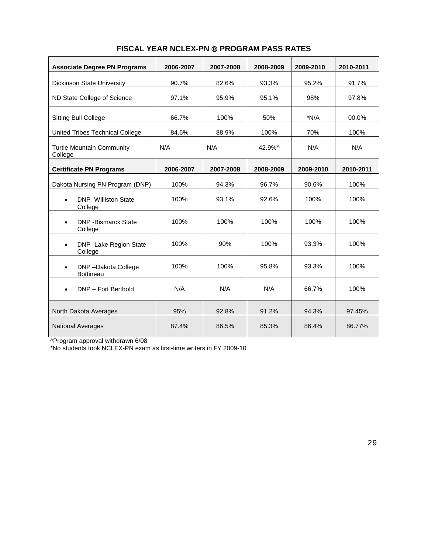| <b>Associate Degree PN Programs</b>                 | 2006-2007 | 2007-2008 | 2008-2009 | 2009-2010 | 2010-2011 |
|-----------------------------------------------------|-----------|-----------|-----------|-----------|-----------|
| <b>Dickinson State University</b>                   | 90.7%     | 82.6%     | 93.3%     | 95.2%     | 91.7%     |
| ND State College of Science                         | 97.1%     | 95.9%     | 95.1%     | 98%       | 97.8%     |
| <b>Sitting Bull College</b>                         | 66.7%     | 100%      | 50%       | *N/A      | 00.0%     |
| United Tribes Technical College                     | 84.6%     | 88.9%     | 100%      | 70%       | 100%      |
| <b>Turtle Mountain Community</b><br>College         | N/A       | N/A       | 42.9%^    | N/A       | N/A       |
| <b>Certificate PN Programs</b>                      | 2006-2007 | 2007-2008 | 2008-2009 | 2009-2010 | 2010-2011 |
| Dakota Nursing PN Program (DNP)                     | 100%      | 94.3%     | 96.7%     | 90.6%     | 100%      |
| <b>DNP- Williston State</b><br>$\bullet$<br>College | 100%      | 93.1%     | 92.6%     | 100%      | 100%      |
| <b>DNP</b> - Bismarck State<br>$\bullet$<br>College | 100%      | 100%      | 100%      | 100%      | 100%      |
| DNP - Lake Region State<br>$\bullet$<br>College     | 100%      | 90%       | 100%      | 93.3%     | 100%      |
| DNP-Dakota College<br>$\bullet$<br><b>Bottineau</b> | 100%      | 100%      | 95.8%     | 93.3%     | 100%      |
| DNP - Fort Berthold<br>$\bullet$                    | N/A       | N/A       | N/A       | 66.7%     | 100%      |
| North Dakota Averages                               | 95%       | 92.8%     | 91.2%     | 94.3%     | 97.45%    |
| <b>National Averages</b>                            | 87.4%     | 86.5%     | 85.3%     | 86.4%     | 86.77%    |

# **FISCAL YEAR NCLEX-PN ® PROGRAM PASS RATES**

^Program approval withdrawn 6/08

\*No students took NCLEX-PN exam as first-time writers in FY 2009-10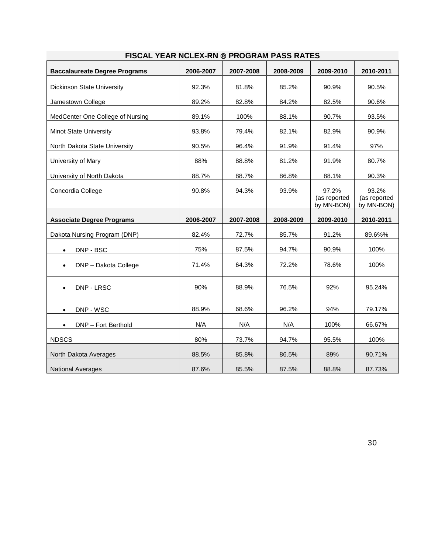| <b>Baccalaureate Degree Programs</b> | 2006-2007 | 2007-2008 | 2008-2009 | 2009-2010                           | 2010-2011                           |
|--------------------------------------|-----------|-----------|-----------|-------------------------------------|-------------------------------------|
|                                      |           |           |           |                                     |                                     |
| Dickinson State University           | 92.3%     | 81.8%     | 85.2%     | 90.9%                               | 90.5%                               |
| Jamestown College                    | 89.2%     | 82.8%     | 84.2%     | 82.5%                               | 90.6%                               |
| MedCenter One College of Nursing     | 89.1%     | 100%      | 88.1%     | 90.7%                               | 93.5%                               |
| <b>Minot State University</b>        | 93.8%     | 79.4%     | 82.1%     | 82.9%                               | 90.9%                               |
| North Dakota State University        | 90.5%     | 96.4%     | 91.9%     | 91.4%                               | 97%                                 |
| University of Mary                   | 88%       | 88.8%     | 81.2%     | 91.9%                               | 80.7%                               |
| University of North Dakota           | 88.7%     | 88.7%     | 86.8%     | 88.1%                               | 90.3%                               |
| Concordia College                    | 90.8%     | 94.3%     | 93.9%     | 97.2%<br>(as reported<br>by MN-BON) | 93.2%<br>(as reported<br>by MN-BON) |
| <b>Associate Degree Programs</b>     | 2006-2007 | 2007-2008 | 2008-2009 | 2009-2010                           | 2010-2011                           |
| Dakota Nursing Program (DNP)         | 82.4%     | 72.7%     | 85.7%     | 91.2%                               | 89.6%%                              |
| DNP - BSC<br>$\bullet$               | 75%       | 87.5%     | 94.7%     | 90.9%                               | 100%                                |
| DNP - Dakota College                 | 71.4%     | 64.3%     | 72.2%     | 78.6%                               | 100%                                |
| DNP - LRSC                           | 90%       | 88.9%     | 76.5%     | 92%                                 | 95.24%                              |
| DNP - WSC<br>$\bullet$               | 88.9%     | 68.6%     | 96.2%     | 94%                                 | 79.17%                              |
| DNP - Fort Berthold<br>$\bullet$     | N/A       | N/A       | N/A       | 100%                                | 66.67%                              |
| <b>NDSCS</b>                         | 80%       | 73.7%     | 94.7%     | 95.5%                               | 100%                                |
| North Dakota Averages                | 88.5%     | 85.8%     | 86.5%     | 89%                                 | 90.71%                              |
| <b>National Averages</b>             | 87.6%     | 85.5%     | 87.5%     | 88.8%                               | 87.73%                              |

# **FISCAL YEAR NCLEX-RN PROGRAM PASS RATES**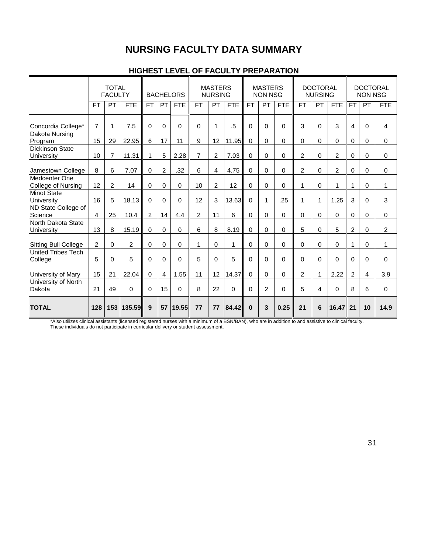# **NURSING FACULTY DATA SUMMARY**

|                                      |                | <b>TOTAL</b><br><b>FACULTY</b> |            | <b>BACHELORS</b> |                | <b>MASTERS</b><br><b>NURSING</b> |                | <b>MASTERS</b><br><b>NON NSG</b> |            | <b>DOCTORAL</b><br><b>NURSING</b> |                |              | <b>DOCTORAL</b><br><b>NON NSG</b> |          |                |                |              |                |
|--------------------------------------|----------------|--------------------------------|------------|------------------|----------------|----------------------------------|----------------|----------------------------------|------------|-----------------------------------|----------------|--------------|-----------------------------------|----------|----------------|----------------|--------------|----------------|
|                                      | <b>FT</b>      | PT                             | <b>FTE</b> | <b>FT</b>        | PT             | <b>FTE</b>                       | <b>FT</b>      | PT                               | <b>FTE</b> | <b>FT</b>                         | PT             | <b>FTE</b>   | <b>FT</b>                         | PT       | <b>FTE</b>     | <b>FT</b>      | PT           | <b>FTE</b>     |
| Concordia College*                   | $\overline{7}$ | 1                              | 7.5        | $\mathbf 0$      | $\Omega$       | 0                                | $\mathbf 0$    | 1                                | $.5\,$     | 0                                 | $\mathbf 0$    | $\Omega$     | 3                                 | $\Omega$ | 3              | $\overline{4}$ | 0            | $\overline{4}$ |
| Dakota Nursing<br>Program            | 15             | 29                             | 22.95      | 6                | 17             | 11                               | 9              | 12                               | 11.95      | $\Omega$                          | 0              | $\Omega$     | $\Omega$                          | $\Omega$ | 0              | $\Omega$       | 0            | $\mathbf 0$    |
| <b>Dickinson State</b><br>University | 10             | $\overline{7}$                 | 11.31      | 1                | 5              | 2.28                             | $\overline{7}$ | $\overline{2}$                   | 7.03       | $\Omega$                          | $\Omega$       | $\mathbf{0}$ | $\overline{2}$                    | $\Omega$ | $\overline{2}$ | $\Omega$       | $\mathbf{0}$ | $\Omega$       |
| Jamestown College                    | 8              | 6                              | 7.07       | 0                | $\overline{2}$ | .32                              | 6              | 4                                | 4.75       | 0                                 | 0              | 0            | $\overline{2}$                    | 0        | $\overline{c}$ | 0              | 0            | 0              |
| Medcenter One<br>College of Nursing  | 12             | $\overline{2}$                 | 14         | 0                | $\Omega$       | 0                                | 10             | $\overline{2}$                   | 12         | $\Omega$                          | 0              | $\Omega$     | 1                                 | $\Omega$ | 1              | 1              | 0            | 1              |
| Minot State<br>University            | 16             | 5                              | 18.13      | $\Omega$         | $\Omega$       | $\overline{0}$                   | 12             | 3                                | 13.63      | $\Omega$                          | 1              | .25          | 1                                 | 1        | 1.25           | 3              | $\mathbf{0}$ | 3              |
| ND State College of<br>Science       | $\overline{4}$ | 25                             | 10.4       | 2                | 14             | 4.4                              | $\overline{c}$ | 11                               | 6          | $\Omega$                          | 0              | $\Omega$     | $\Omega$                          | 0        | $\Omega$       | $\mathbf 0$    | 0            | $\Omega$       |
| North Dakota State<br>University     | 13             | 8                              | 15.19      | $\Omega$         | $\Omega$       | 0                                | 6              | 8                                | 8.19       | $\Omega$                          | 0              | $\Omega$     | 5                                 | $\Omega$ | 5              | $\overline{2}$ | $\mathbf{0}$ | $\overline{2}$ |
| <b>Sitting Bull College</b>          | $\overline{2}$ | $\Omega$                       | 2          | $\mathbf 0$      | $\Omega$       | $\Omega$                         | 1              | $\Omega$                         | 1          | $\Omega$                          | $\mathbf 0$    | $\Omega$     | $\Omega$                          | $\Omega$ | $\Omega$       | 1              | $\mathbf{0}$ | 1              |
| <b>United Tribes Tech</b><br>College | 5              | $\mathbf 0$                    | 5          | $\mathbf 0$      | $\Omega$       | 0                                | 5              | $\Omega$                         | 5          | $\Omega$                          | $\mathbf 0$    | $\Omega$     | $\Omega$                          | $\Omega$ | 0              | $\Omega$       | 0            | $\mathbf 0$    |
| University of Mary                   | 15             | 21                             | 22.04      | $\Omega$         | 4              | 1.55                             | 11             | 12                               | 14.37      | $\Omega$                          | $\Omega$       | $\Omega$     | $\overline{2}$                    | 1        | 2.22           | $\overline{2}$ | 4            | 3.9            |
| University of North<br>Dakota        | 21             | 49                             | $\Omega$   | $\Omega$         | 15             | $\Omega$                         | 8              | 22                               | $\Omega$   | $\Omega$                          | $\overline{c}$ | $\Omega$     | 5                                 | 4        | $\Omega$       | 8              | 6            | $\mathbf 0$    |
| <b>TOTAL</b>                         | 128            | 153                            | 135.59     | 9                | 57             | 19.55                            | 77             | 77                               | 84.42      | $\mathbf{0}$                      | 3              | 0.25         | 21                                | 6        | 16.47          | 21             | 10           | 14.9           |

### **HIGHEST LEVEL OF FACULTY PREPARATION**

\*Also utilizes clinical assistants (licensed registered nurses with a minimum of a BSN/BAN), who are in addition to and assistive to clinical faculty. These individuals do not participate in curricular delivery or student assessment.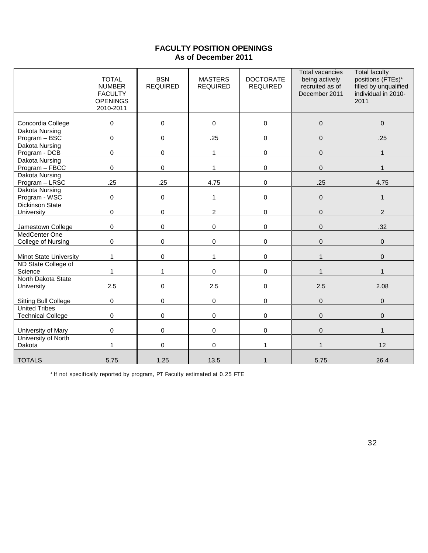# **FACULTY POSITION OPENINGS As of December 2011**

|                                                  | <b>TOTAL</b><br><b>NUMBER</b><br><b>FACULTY</b><br><b>OPENINGS</b><br>2010-2011 | <b>BSN</b><br><b>REQUIRED</b> | <b>MASTERS</b><br><b>REQUIRED</b> | <b>DOCTORATE</b><br><b>REQUIRED</b> | <b>Total vacancies</b><br>being actively<br>recruited as of<br>December 2011 | <b>Total faculty</b><br>positions (FTEs)*<br>filled by unqualified<br>individual in 2010-<br>2011 |
|--------------------------------------------------|---------------------------------------------------------------------------------|-------------------------------|-----------------------------------|-------------------------------------|------------------------------------------------------------------------------|---------------------------------------------------------------------------------------------------|
| Concordia College                                | $\pmb{0}$                                                                       | 0                             | $\mathbf 0$                       | 0                                   | $\pmb{0}$                                                                    | $\pmb{0}$                                                                                         |
| Dakota Nursing<br>Program - BSC                  | $\mathsf 0$                                                                     | 0                             | .25                               | 0                                   | $\pmb{0}$                                                                    | .25                                                                                               |
| <b>Dakota Nursing</b><br>Program - DCB           | $\pmb{0}$                                                                       | 0                             | $\mathbf{1}$                      | 0                                   | $\mathbf 0$                                                                  | 1                                                                                                 |
| <b>Dakota Nursing</b><br>Program - FBCC          | $\pmb{0}$                                                                       | 0                             | $\mathbf{1}$                      | 0                                   | $\pmb{0}$                                                                    |                                                                                                   |
| <b>Dakota Nursing</b><br>Program - LRSC          | .25                                                                             | .25                           | 4.75                              | 0                                   | .25                                                                          | 4.75                                                                                              |
| <b>Dakota Nursing</b><br>Program - WSC           | $\mathsf 0$                                                                     | $\mathbf 0$                   | $\mathbf{1}$                      | 0                                   | $\mathbf 0$                                                                  | 1                                                                                                 |
| <b>Dickinson State</b><br>University             | $\pmb{0}$                                                                       | $\pmb{0}$                     | $\overline{2}$                    | 0                                   | $\pmb{0}$                                                                    | $\overline{2}$                                                                                    |
| Jamestown College                                | $\pmb{0}$                                                                       | $\pmb{0}$                     | $\mathbf 0$                       | 0                                   | $\mathbf 0$                                                                  | .32                                                                                               |
| MedCenter One<br>College of Nursing              | $\pmb{0}$                                                                       | 0                             | $\mathsf{O}\xspace$               | 0                                   | $\pmb{0}$                                                                    | $\pmb{0}$                                                                                         |
| <b>Minot State University</b>                    | $\mathbf{1}$                                                                    | 0                             | $\mathbf{1}$                      | 0                                   | $\mathbf{1}$                                                                 | $\pmb{0}$                                                                                         |
| ND State College of<br>Science                   | 1                                                                               | 1                             | $\mathbf 0$                       | 0                                   |                                                                              |                                                                                                   |
| North Dakota State<br>University                 | 2.5                                                                             | $\mathbf 0$                   | 2.5                               | 0                                   | 2.5                                                                          | 2.08                                                                                              |
| <b>Sitting Bull College</b>                      | $\mathsf 0$                                                                     | $\mathbf 0$                   | $\mathbf 0$                       | 0                                   | $\overline{0}$                                                               | $\Omega$                                                                                          |
| <b>United Tribes</b><br><b>Technical College</b> | $\pmb{0}$                                                                       | $\mathbf 0$                   | $\mathbf 0$                       | 0                                   | $\mathbf 0$                                                                  | $\Omega$                                                                                          |
| University of Mary                               | $\pmb{0}$                                                                       | 0                             | 0                                 | 0                                   | $\pmb{0}$                                                                    | $\mathbf{1}$                                                                                      |
| University of North<br>Dakota                    | $\mathbf{1}$                                                                    | 0                             | $\mathsf{O}\xspace$               | 1                                   | $\mathbf{1}$                                                                 | 12                                                                                                |
| <b>TOTALS</b>                                    | 5.75                                                                            | 1.25                          | 13.5                              | $\mathbf{1}$                        | 5.75                                                                         | 26.4                                                                                              |

\* If not specifically reported by program, PT Faculty estimated at 0.25 FTE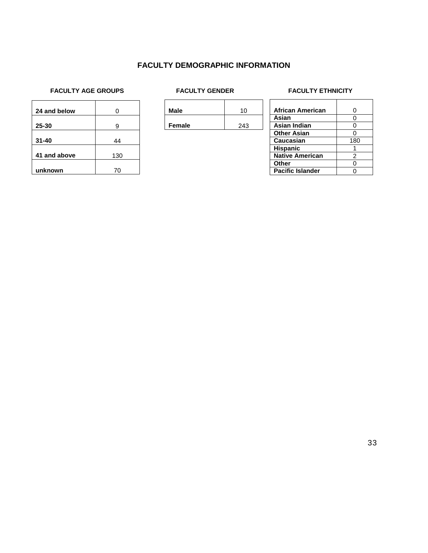### **FACULTY DEMOGRAPHIC INFORMATION**

# **FACULTY AGE GROUPS** FACULTY GENDER FACULTY FACULTY ETHNICITY

| 24 and below | ი   |
|--------------|-----|
| 25-30        | 9   |
| $31 - 40$    | 44  |
| 41 and above | 130 |
| unknown      | 70  |

| <b>Male</b>   | 10  |
|---------------|-----|
| <b>Female</b> | 243 |

| African American        | 0   |
|-------------------------|-----|
| Asian                   | 0   |
| Asian Indian            | O   |
| <b>Other Asian</b>      | ი   |
| <b>Caucasian</b>        | 180 |
| <b>Hispanic</b>         |     |
| <b>Native American</b>  | 2   |
| Other                   | ი   |
| <b>Pacific Islander</b> |     |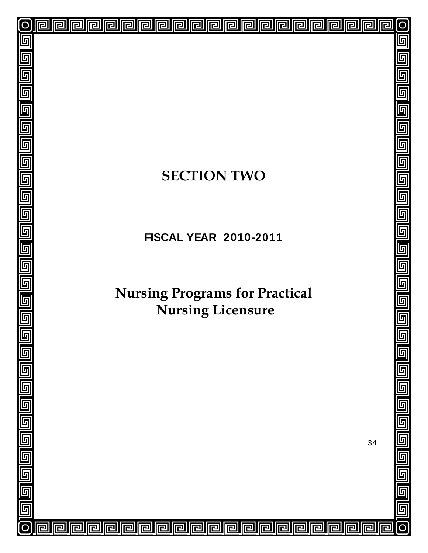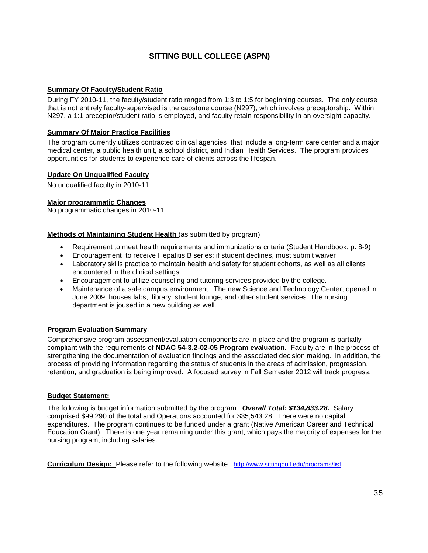# **SITTING BULL COLLEGE (ASPN)**

#### **Summary Of Faculty/Student Ratio**

During FY 2010-11, the faculty/student ratio ranged from 1:3 to 1:5 for beginning courses. The only course that is not entirely faculty-supervised is the capstone course (N297), which involves preceptorship. Within N297, a 1:1 preceptor/student ratio is employed, and faculty retain responsibility in an oversight capacity.

#### **Summary Of Major Practice Facilities**

The program currently utilizes contracted clinical agencies that include a long-term care center and a major medical center, a public health unit, a school district, and Indian Health Services. The program provides opportunities for students to experience care of clients across the lifespan.

#### **Update On Unqualified Faculty**

No unqualified faculty in 2010-11

#### **Major programmatic Changes**

No programmatic changes in 2010-11

#### **Methods of Maintaining Student Health** (as submitted by program)

- Requirement to meet health requirements and immunizations criteria (Student Handbook, p. 8-9)
- Encouragement to receive Hepatitis B series; if student declines, must submit waiver
- Laboratory skills practice to maintain health and safety for student cohorts, as well as all clients encountered in the clinical settings.
- Encouragement to utilize counseling and tutoring services provided by the college.
- Maintenance of a safe campus environment. The new Science and Technology Center, opened in June 2009, houses labs, library, student lounge, and other student services. The nursing department is joused in a new building as well.

#### **Program Evaluation Summary**

Comprehensive program assessment/evaluation components are in place and the program is partially compliant with the requirements of **NDAC 54-3.2-02-05 Program evaluation.** Faculty are in the process of strengthening the documentation of evaluation findings and the associated decision making. In addition, the process of providing information regarding the status of students in the areas of admission, progression, retention, and graduation is being improved. A focused survey in Fall Semester 2012 will track progress.

#### **Budget Statement:**

The following is budget information submitted by the program: *Overall Total: \$134,833.28.* Salary comprised \$99,290 of the total and Operations accounted for \$35,543.28. There were no capital expenditures. The program continues to be funded under a grant (Native American Career and Technical Education Grant). There is one year remaining under this grant, which pays the majority of expenses for the nursing program, including salaries.

**Curriculum Design:** Please refer to the following website: [http://www.sittingbull.edu/programs/list](http://www.sittingbull.edu/programs/list/)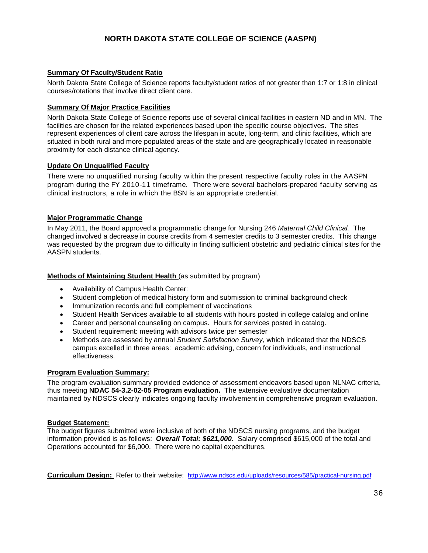# **NORTH DAKOTA STATE COLLEGE OF SCIENCE (AASPN)**

#### **Summary Of Faculty/Student Ratio**

North Dakota State College of Science reports faculty/student ratios of not greater than 1:7 or 1:8 in clinical courses/rotations that involve direct client care.

#### **Summary Of Major Practice Facilities**

North Dakota State College of Science reports use of several clinical facilities in eastern ND and in MN. The facilities are chosen for the related experiences based upon the specific course objectives. The sites represent experiences of client care across the lifespan in acute, long-term, and clinic facilities, which are situated in both rural and more populated areas of the state and are geographically located in reasonable proximity for each distance clinical agency.

#### **Update On Unqualified Faculty**

There w ere no unqualified nursing faculty w ithin the present respective faculty roles in the AASPN program during the FY 2010-11 timeframe. There w ere several bachelors-prepared faculty serving as clinical instructors, a role in w hich the BSN is an appropriate credential.

#### **Major Programmatic Change**

In May 2011, the Board approved a programmatic change for Nursing 246 *Maternal Child Clinical.* The changed involved a decrease in course credits from 4 semester credits to 3 semester credits. This change was requested by the program due to difficulty in finding sufficient obstetric and pediatric clinical sites for the AASPN students.

#### **Methods of Maintaining Student Health** (as submitted by program)

- Availability of Campus Health Center:
- Student completion of medical history form and submission to criminal background check
- Immunization records and full complement of vaccinations
- Student Health Services available to all students with hours posted in college catalog and online
- Career and personal counseling on campus. Hours for services posted in catalog.
- Student requirement: meeting with advisors twice per semester
- Methods are assessed by annual *Student Satisfaction Survey,* which indicated that the NDSCS campus excelled in three areas: academic advising, concern for individuals, and instructional effectiveness.

#### **Program Evaluation Summary:**

The program evaluation summary provided evidence of assessment endeavors based upon NLNAC criteria, thus meeting **NDAC 54-3.2-02-05 Program evaluation.** The extensive evaluative documentation maintained by NDSCS clearly indicates ongoing faculty involvement in comprehensive program evaluation.

#### **Budget Statement:**

The budget figures submitted were inclusive of both of the NDSCS nursing programs, and the budget information provided is as follows: *Overall Total: \$621,000.* Salary comprised \$615,000 of the total and Operations accounted for \$6,000. There were no capital expenditures.

**Curriculum Design:** Refer to their website: <http://www.ndscs.edu/uploads/resources/585/practical-nursing.pdf>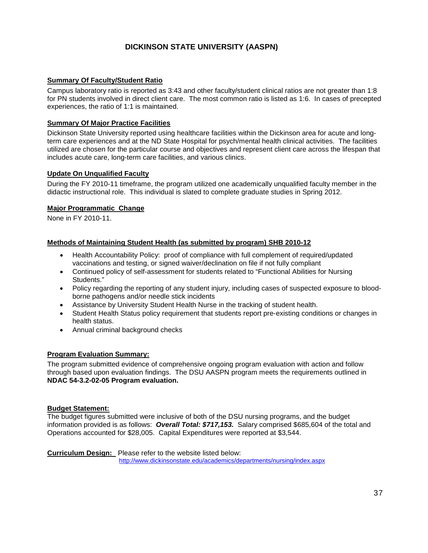### **DICKINSON STATE UNIVERSITY (AASPN)**

#### **Summary Of Faculty/Student Ratio**

Campus laboratory ratio is reported as 3:43 and other faculty/student clinical ratios are not greater than 1:8 for PN students involved in direct client care. The most common ratio is listed as 1:6. In cases of precepted experiences, the ratio of 1:1 is maintained.

#### **Summary Of Major Practice Facilities**

Dickinson State University reported using healthcare facilities within the Dickinson area for acute and longterm care experiences and at the ND State Hospital for psych/mental health clinical activities. The facilities utilized are chosen for the particular course and objectives and represent client care across the lifespan that includes acute care, long-term care facilities, and various clinics.

#### **Update On Unqualified Faculty**

During the FY 2010-11 timeframe, the program utilized one academically unqualified faculty member in the didactic instructional role. This individual is slated to complete graduate studies in Spring 2012.

#### **Major Programmatic Change**

None in FY 2010-11.

#### **Methods of Maintaining Student Health (as submitted by program) SHB 2010-12**

- Health Accountability Policy: proof of compliance with full complement of required/updated vaccinations and testing, or signed waiver/declination on file if not fully compliant
- Continued policy of self-assessment for students related to "Functional Abilities for Nursing Students."
- Policy regarding the reporting of any student injury, including cases of suspected exposure to bloodborne pathogens and/or needle stick incidents
- Assistance by University Student Health Nurse in the tracking of student health.
- Student Health Status policy requirement that students report pre-existing conditions or changes in health status.
- Annual criminal background checks

#### **Program Evaluation Summary:**

The program submitted evidence of comprehensive ongoing program evaluation with action and follow through based upon evaluation findings. The DSU AASPN program meets the requirements outlined in **NDAC 54-3.2-02-05 Program evaluation.**

#### **Budget Statement:**

The budget figures submitted were inclusive of both of the DSU nursing programs, and the budget information provided is as follows: *Overall Total: \$717,153.* Salary comprised \$685,604 of the total and Operations accounted for \$28,005. Capital Expenditures were reported at \$3,544.

**Curriculum Design:** Please refer to the website listed below: <http://www.dickinsonstate.edu/academics/departments/nursing/index.aspx>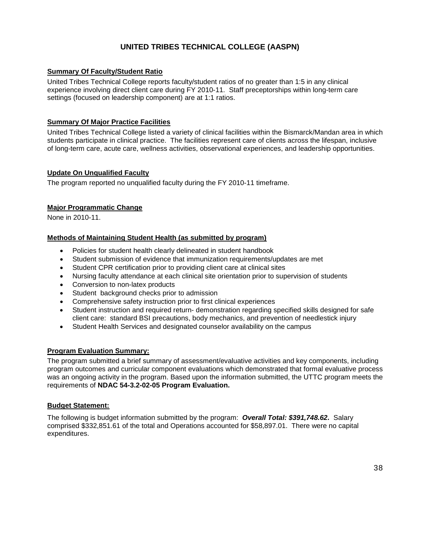## **UNITED TRIBES TECHNICAL COLLEGE (AASPN)**

#### **Summary Of Faculty/Student Ratio**

United Tribes Technical College reports faculty/student ratios of no greater than 1:5 in any clinical experience involving direct client care during FY 2010-11. Staff preceptorships within long-term care settings (focused on leadership component) are at 1:1 ratios.

#### **Summary Of Major Practice Facilities**

United Tribes Technical College listed a variety of clinical facilities within the Bismarck/Mandan area in which students participate in clinical practice. The facilities represent care of clients across the lifespan, inclusive of long-term care, acute care, wellness activities, observational experiences, and leadership opportunities.

#### **Update On Unqualified Faculty**

The program reported no unqualified faculty during the FY 2010-11 timeframe.

#### **Major Programmatic Change**

None in 2010-11.

#### **Methods of Maintaining Student Health (as submitted by program)**

- Policies for student health clearly delineated in student handbook
- Student submission of evidence that immunization requirements/updates are met
- Student CPR certification prior to providing client care at clinical sites
- Nursing faculty attendance at each clinical site orientation prior to supervision of students
- Conversion to non-latex products
- Student background checks prior to admission
- Comprehensive safety instruction prior to first clinical experiences
- Student instruction and required return- demonstration regarding specified skills designed for safe client care: standard BSI precautions, body mechanics, and prevention of needlestick injury
- Student Health Services and designated counselor availability on the campus

#### **Program Evaluation Summary:**

The program submitted a brief summary of assessment/evaluative activities and key components, including program outcomes and curricular component evaluations which demonstrated that formal evaluative process was an ongoing activity in the program. Based upon the information submitted, the UTTC program meets the requirements of **NDAC 54-3.2-02-05 Program Evaluation.**

#### **Budget Statement:**

The following is budget information submitted by the program: *Overall Total: \$391,748.62.* Salary comprised \$332,851.61 of the total and Operations accounted for \$58,897.01. There were no capital expenditures.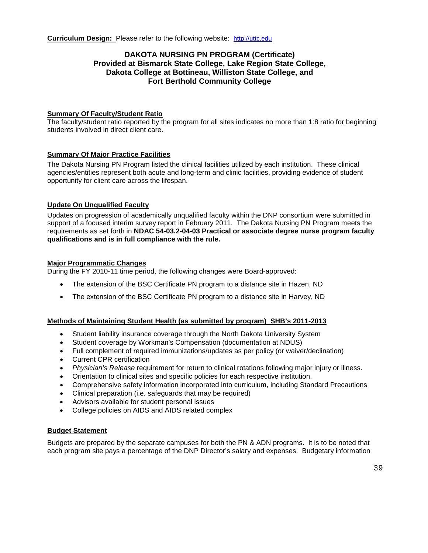#### **DAKOTA NURSING PN PROGRAM (Certificate) Provided at Bismarck State College, Lake Region State College, Dakota College at Bottineau, Williston State College, and Fort Berthold Community College**

#### **Summary Of Faculty/Student Ratio**

The faculty/student ratio reported by the program for all sites indicates no more than 1:8 ratio for beginning students involved in direct client care.

#### **Summary Of Major Practice Facilities**

The Dakota Nursing PN Program listed the clinical facilities utilized by each institution. These clinical agencies/entities represent both acute and long-term and clinic facilities, providing evidence of student opportunity for client care across the lifespan.

#### **Update On Unqualified Faculty**

Updates on progression of academically unqualified faculty within the DNP consortium were submitted in support of a focused interim survey report in February 2011. The Dakota Nursing PN Program meets the requirements as set forth in **NDAC 54-03.2-04-03 Practical or associate degree nurse program faculty qualifications and is in full compliance with the rule.**

#### **Major Programmatic Changes**

During the FY 2010-11 time period, the following changes were Board-approved:

- The extension of the BSC Certificate PN program to a distance site in Hazen, ND
- The extension of the BSC Certificate PN program to a distance site in Harvey, ND

#### **Methods of Maintaining Student Health (as submitted by program) SHB's 2011-2013**

- Student liability insurance coverage through the North Dakota University System
- Student coverage by Workman's Compensation (documentation at NDUS)
- Full complement of required immunizations/updates as per policy (or waiver/declination)
- Current CPR certification
- *Physician's Release* requirement for return to clinical rotations following major injury or illness.
- Orientation to clinical sites and specific policies for each respective institution.
- Comprehensive safety information incorporated into curriculum, including Standard Precautions
- Clinical preparation (i.e. safeguards that may be required)
- Advisors available for student personal issues
- College policies on AIDS and AIDS related complex

#### **Budget Statement**

Budgets are prepared by the separate campuses for both the PN & ADN programs. It is to be noted that each program site pays a percentage of the DNP Director's salary and expenses. Budgetary information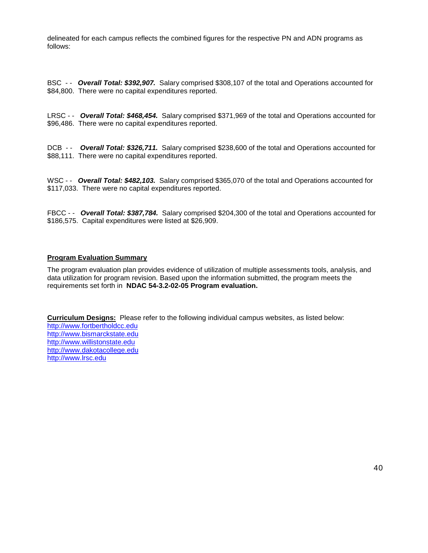delineated for each campus reflects the combined figures for the respective PN and ADN programs as follows:

BSC - - *Overall Total: \$392,907.* Salary comprised \$308,107 of the total and Operations accounted for \$84,800. There were no capital expenditures reported.

LRSC - - *Overall Total: \$468,454.* Salary comprised \$371,969 of the total and Operations accounted for \$96,486. There were no capital expenditures reported.

DCB - - *Overall Total: \$326,711.* Salary comprised \$238,600 of the total and Operations accounted for \$88,111. There were no capital expenditures reported.

WSC - **Overall Total: \$482,103.** Salary comprised \$365,070 of the total and Operations accounted for \$117,033. There were no capital expenditures reported.

FBCC - - *Overall Total: \$387,784.* Salary comprised \$204,300 of the total and Operations accounted for \$186,575. Capital expenditures were listed at \$26,909.

#### **Program Evaluation Summary**

The program evaluation plan provides evidence of utilization of multiple assessments tools, analysis, and data utilization for program revision. Based upon the information submitted, the program meets the requirements set forth in **NDAC 54-3.2-02-05 Program evaluation.**

**Curriculum Designs:** Please refer to the following individual campus websites, as listed below: [http://www.fortbertholdcc.edu](http://www.fortbertholdcc.edu/) [http://www.bismarckstate.edu](http://www.bismarckstate.edu/) [http://www.willistonstate.edu](http://www.willistonstate.edu/)  [http://www.dakotacollege.edu](http://www.dakotacollege.edu/) [http://www.lrsc.edu](http://www.lrsc.edu/)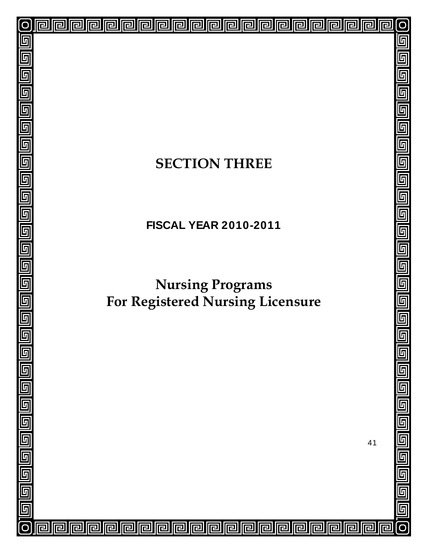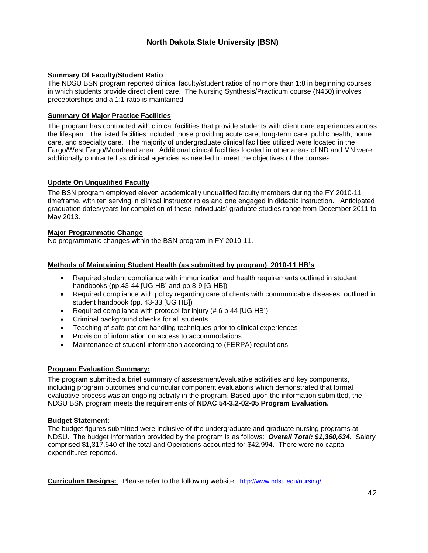## **North Dakota State University (BSN)**

#### **Summary Of Faculty/Student Ratio**

The NDSU BSN program reported clinical faculty/student ratios of no more than 1:8 in beginning courses in which students provide direct client care. The Nursing Synthesis/Practicum course (N450) involves preceptorships and a 1:1 ratio is maintained.

#### **Summary Of Major Practice Facilities**

The program has contracted with clinical facilities that provide students with client care experiences across the lifespan. The listed facilities included those providing acute care, long-term care, public health, home care, and specialty care. The majority of undergraduate clinical facilities utilized were located in the Fargo/West Fargo/Moorhead area. Additional clinical facilities located in other areas of ND and MN were additionally contracted as clinical agencies as needed to meet the objectives of the courses.

#### **Update On Unqualified Faculty**

The BSN program employed eleven academically unqualified faculty members during the FY 2010-11 timeframe, with ten serving in clinical instructor roles and one engaged in didactic instruction. Anticipated graduation dates/years for completion of these individuals' graduate studies range from December 2011 to May 2013.

#### **Major Programmatic Change**

No programmatic changes within the BSN program in FY 2010-11.

#### **Methods of Maintaining Student Health (as submitted by program) 2010-11 HB's**

- Required student compliance with immunization and health requirements outlined in student handbooks (pp.43-44 [UG HB] and pp.8-9 [G HB])
- Required compliance with policy regarding care of clients with communicable diseases, outlined in student handbook (pp. 43-33 [UG HB])
- Required compliance with protocol for injury (# 6 p.44 [UG HB])
- Criminal background checks for all students
- Teaching of safe patient handling techniques prior to clinical experiences
- Provision of information on access to accommodations
- Maintenance of student information according to (FERPA) regulations

#### **Program Evaluation Summary:**

The program submitted a brief summary of assessment/evaluative activities and key components, including program outcomes and curricular component evaluations which demonstrated that formal evaluative process was an ongoing activity in the program. Based upon the information submitted, the NDSU BSN program meets the requirements of **NDAC 54-3.2-02-05 Program Evaluation.**

#### **Budget Statement:**

The budget figures submitted were inclusive of the undergraduate and graduate nursing programs at NDSU. The budget information provided by the program is as follows: *Overall Total: \$1,360,634.* Salary comprised \$1,317,640 of the total and Operations accounted for \$42,994. There were no capital expenditures reported.

**Curriculum Designs:** Please refer to the following website: <http://www.ndsu.edu/nursing/>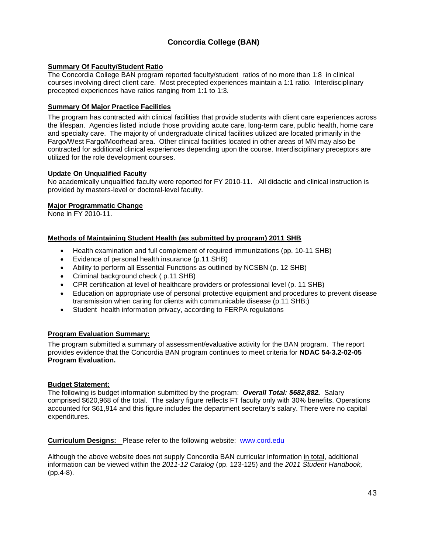# **Concordia College (BAN)**

#### **Summary Of Faculty/Student Ratio**

The Concordia College BAN program reported faculty/student ratios of no more than 1:8 in clinical courses involving direct client care. Most precepted experiences maintain a 1:1 ratio. Interdisciplinary precepted experiences have ratios ranging from 1:1 to 1:3.

#### **Summary Of Major Practice Facilities**

The program has contracted with clinical facilities that provide students with client care experiences across the lifespan. Agencies listed include those providing acute care, long-term care, public health, home care and specialty care. The majority of undergraduate clinical facilities utilized are located primarily in the Fargo/West Fargo/Moorhead area. Other clinical facilities located in other areas of MN may also be contracted for additional clinical experiences depending upon the course. Interdisciplinary preceptors are utilized for the role development courses.

#### **Update On Unqualified Faculty**

No academically unqualified faculty were reported for FY 2010-11. All didactic and clinical instruction is provided by masters-level or doctoral-level faculty.

#### **Major Programmatic Change**

None in FY 2010-11.

#### **Methods of Maintaining Student Health (as submitted by program) 2011 SHB**

- Health examination and full complement of required immunizations (pp. 10-11 SHB)
- Evidence of personal health insurance (p.11 SHB)
- Ability to perform all Essential Functions as outlined by NCSBN (p. 12 SHB)
- Criminal background check ( p.11 SHB)
- CPR certification at level of healthcare providers or professional level (p. 11 SHB)
- Education on appropriate use of personal protective equipment and procedures to prevent disease transmission when caring for clients with communicable disease (p.11 SHB;)
- Student health information privacy, according to FERPA regulations

#### **Program Evaluation Summary:**

The program submitted a summary of assessment/evaluative activity for the BAN program. The report provides evidence that the Concordia BAN program continues to meet criteria for **NDAC 54-3.2-02-05 Program Evaluation.**

#### **Budget Statement:**

The following is budget information submitted by the program: *Overall Total: \$682,882.* Salary comprised \$620,968 of the total. The salary figure reflects FT faculty only with 30% benefits. Operations accounted for \$61,914 and this figure includes the department secretary's salary. There were no capital expenditures.

**Curriculum Designs:** Please refer to the following website: [www.cord.edu](http://www.cord.edu/) 

Although the above website does not supply Concordia BAN curricular information in total, additional information can be viewed within the *2011-12 Catalog* (pp. 123-125) and the *2011 Student Handbook,* (pp.4-8).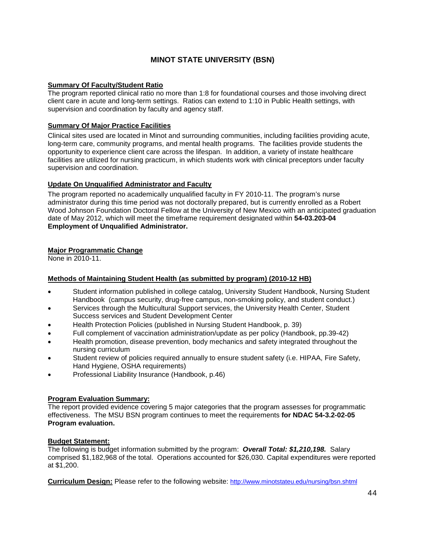# **MINOT STATE UNIVERSITY (BSN)**

#### **Summary Of Faculty/Student Ratio**

The program reported clinical ratio no more than 1:8 for foundational courses and those involving direct client care in acute and long-term settings. Ratios can extend to 1:10 in Public Health settings, with supervision and coordination by faculty and agency staff.

#### **Summary Of Major Practice Facilities**

Clinical sites used are located in Minot and surrounding communities, including facilities providing acute, long-term care, community programs, and mental health programs. The facilities provide students the opportunity to experience client care across the lifespan. In addition, a variety of instate healthcare facilities are utilized for nursing practicum, in which students work with clinical preceptors under faculty supervision and coordination.

#### **Update On Unqualified Administrator and Faculty**

The program reported no academically unqualified faculty in FY 2010-11. The program's nurse administrator during this time period was not doctorally prepared, but is currently enrolled as a Robert Wood Johnson Foundation Doctoral Fellow at the University of New Mexico with an anticipated graduation date of May 2012, which will meet the timeframe requirement designated within **54-03.203-04 Employment of Unqualified Administrator.**

#### **Major Programmatic Change**

None in 2010-11.

### **Methods of Maintaining Student Health (as submitted by program) (2010-12 HB)**

- Student information published in college catalog, University Student Handbook, Nursing Student Handbook (campus security, drug-free campus, non-smoking policy, and student conduct.)
- Services through the Multicultural Support services, the University Health Center, Student Success services and Student Development Center
- Health Protection Policies (published in Nursing Student Handbook, p. 39)
- Full complement of vaccination administration/update as per policy (Handbook, pp.39-42)
- Health promotion, disease prevention, body mechanics and safety integrated throughout the nursing curriculum
- Student review of policies required annually to ensure student safety (i.e. HIPAA, Fire Safety, Hand Hygiene, OSHA requirements)
- Professional Liability Insurance (Handbook, p.46)

#### **Program Evaluation Summary:**

The report provided evidence covering 5 major categories that the program assesses for programmatic effectiveness. The MSU BSN program continues to meet the requirements **for NDAC 54-3.2-02-05 Program evaluation.**

#### **Budget Statement:**

The following is budget information submitted by the program: *Overall Total: \$1,210,198.* Salary comprised \$1,182,968 of the total. Operations accounted for \$26,030. Capital expenditures were reported at \$1,200.

**Curriculum Design:** Please refer to the following website: <http://www.minotstateu.edu/nursing/bsn.shtml>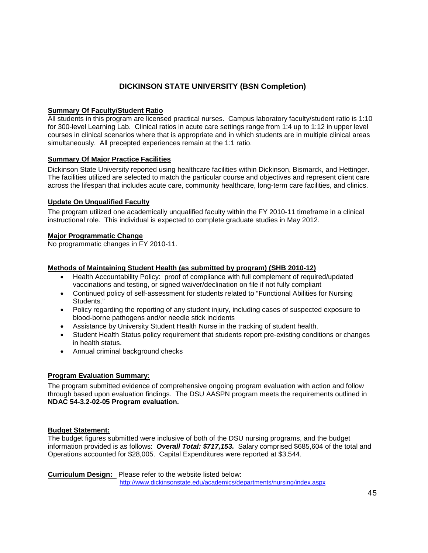# **DICKINSON STATE UNIVERSITY (BSN Completion)**

#### **Summary Of Faculty/Student Ratio**

All students in this program are licensed practical nurses. Campus laboratory faculty/student ratio is 1:10 for 300-level Learning Lab. Clinical ratios in acute care settings range from 1:4 up to 1:12 in upper level courses in clinical scenarios where that is appropriate and in which students are in multiple clinical areas simultaneously. All precepted experiences remain at the 1:1 ratio.

#### **Summary Of Major Practice Facilities**

Dickinson State University reported using healthcare facilities within Dickinson, Bismarck, and Hettinger. The facilities utilized are selected to match the particular course and objectives and represent client care across the lifespan that includes acute care, community healthcare, long-term care facilities, and clinics.

#### **Update On Unqualified Faculty**

The program utilized one academically unqualified faculty within the FY 2010-11 timeframe in a clinical instructional role. This individual is expected to complete graduate studies in May 2012.

#### **Major Programmatic Change**

No programmatic changes in FY 2010-11.

#### **Methods of Maintaining Student Health (as submitted by program) (SHB 2010-12)**

- Health Accountability Policy: proof of compliance with full complement of required/updated vaccinations and testing, or signed waiver/declination on file if not fully compliant
- Continued policy of self-assessment for students related to "Functional Abilities for Nursing Students."
- Policy regarding the reporting of any student injury, including cases of suspected exposure to blood-borne pathogens and/or needle stick incidents
- Assistance by University Student Health Nurse in the tracking of student health.
- Student Health Status policy requirement that students report pre-existing conditions or changes in health status.
- Annual criminal background checks

#### **Program Evaluation Summary:**

The program submitted evidence of comprehensive ongoing program evaluation with action and follow through based upon evaluation findings. The DSU AASPN program meets the requirements outlined in **NDAC 54-3.2-02-05 Program evaluation.**

#### **Budget Statement:**

The budget figures submitted were inclusive of both of the DSU nursing programs, and the budget information provided is as follows: *Overall Total: \$717,153.* Salary comprised \$685,604 of the total and Operations accounted for \$28,005. Capital Expenditures were reported at \$3,544.

**Curriculum Design:** Please refer to the website listed below: <http://www.dickinsonstate.edu/academics/departments/nursing/index.aspx>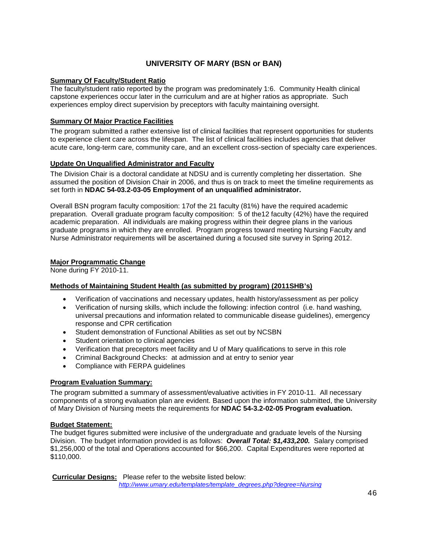# **UNIVERSITY OF MARY (BSN or BAN)**

#### **Summary Of Faculty/Student Ratio**

The faculty/student ratio reported by the program was predominately 1:6. Community Health clinical capstone experiences occur later in the curriculum and are at higher ratios as appropriate. Such experiences employ direct supervision by preceptors with faculty maintaining oversight.

### **Summary Of Major Practice Facilities**

The program submitted a rather extensive list of clinical facilities that represent opportunities for students to experience client care across the lifespan. The list of clinical facilities includes agencies that deliver acute care, long-term care, community care, and an excellent cross-section of specialty care experiences.

#### **Update On Unqualified Administrator and Faculty**

The Division Chair is a doctoral candidate at NDSU and is currently completing her dissertation. She assumed the position of Division Chair in 2006, and thus is on track to meet the timeline requirements as set forth in **NDAC 54-03.2-03-05 Employment of an unqualified administrator.**

Overall BSN program faculty composition: 17of the 21 faculty (81%) have the required academic preparation. Overall graduate program faculty composition: 5 of the12 faculty (42%) have the required academic preparation. All individuals are making progress within their degree plans in the various graduate programs in which they are enrolled. Program progress toward meeting Nursing Faculty and Nurse Administrator requirements will be ascertained during a focused site survey in Spring 2012.

#### **Major Programmatic Change**

None during FY 2010-11.

#### **Methods of Maintaining Student Health (as submitted by program) (2011SHB's)**

- Verification of vaccinations and necessary updates, health history/assessment as per policy
- Verification of nursing skills, which include the following: infection control (i.e. hand washing, universal precautions and information related to communicable disease guidelines), emergency response and CPR certification
- Student demonstration of Functional Abilities as set out by NCSBN
- Student orientation to clinical agencies
- Verification that preceptors meet facility and U of Mary qualifications to serve in this role
- Criminal Background Checks: at admission and at entry to senior year
- Compliance with FERPA guidelines

### **Program Evaluation Summary:**

The program submitted a summary of assessment/evaluative activities in FY 2010-11. All necessary components of a strong evaluation plan are evident. Based upon the information submitted, the University of Mary Division of Nursing meets the requirements for **NDAC 54-3.2-02-05 Program evaluation.**

#### **Budget Statement:**

The budget figures submitted were inclusive of the undergraduate and graduate levels of the Nursing Division. The budget information provided is as follows: *Overall Total: \$1,433,200.* Salary comprised \$1,256,000 of the total and Operations accounted for \$66,200. Capital Expenditures were reported at \$110,000.

**Curricular Designs:** Please refer to the website listed below:  *[http://www.umary.edu/templates/template\\_degrees.php?degree=Nursing](http://www.umary.edu/templates/template_degrees.php?degree=Nursing)*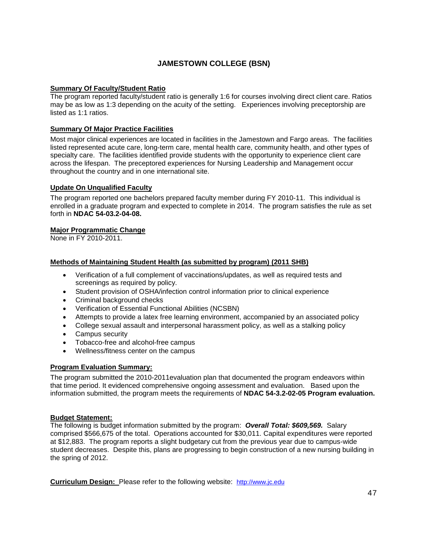# **JAMESTOWN COLLEGE (BSN)**

#### **Summary Of Faculty/Student Ratio**

The program reported faculty/student ratio is generally 1:6 for courses involving direct client care. Ratios may be as low as 1:3 depending on the acuity of the setting. Experiences involving preceptorship are listed as 1:1 ratios.

#### **Summary Of Major Practice Facilities**

Most major clinical experiences are located in facilities in the Jamestown and Fargo areas. The facilities listed represented acute care, long-term care, mental health care, community health, and other types of specialty care. The facilities identified provide students with the opportunity to experience client care across the lifespan. The preceptored experiences for Nursing Leadership and Management occur throughout the country and in one international site.

#### **Update On Unqualified Faculty**

The program reported one bachelors prepared faculty member during FY 2010-11. This individual is enrolled in a graduate program and expected to complete in 2014. The program satisfies the rule as set forth in **NDAC 54-03.2-04-08.**

#### **Major Programmatic Change**

None in FY 2010-2011.

#### **Methods of Maintaining Student Health (as submitted by program) (2011 SHB)**

- Verification of a full complement of vaccinations/updates, as well as required tests and screenings as required by policy.
- Student provision of OSHA/infection control information prior to clinical experience
- Criminal background checks
- Verification of Essential Functional Abilities (NCSBN)
- Attempts to provide a latex free learning environment, accompanied by an associated policy
- College sexual assault and interpersonal harassment policy, as well as a stalking policy
- Campus security
- Tobacco-free and alcohol-free campus
- Wellness/fitness center on the campus

#### **Program Evaluation Summary:**

The program submitted the 2010-2011evaluation plan that documented the program endeavors within that time period. It evidenced comprehensive ongoing assessment and evaluation. Based upon the information submitted, the program meets the requirements of **NDAC 54-3.2-02-05 Program evaluation.**

#### **Budget Statement:**

The following is budget information submitted by the program: *Overall Total: \$609,569.* Salary comprised \$566,675 of the total. Operations accounted for \$30,011. Capital expenditures were reported at \$12,883. The program reports a slight budgetary cut from the previous year due to campus-wide student decreases. Despite this, plans are progressing to begin construction of a new nursing building in the spring of 2012.

**Curriculum Design:** Please refer to the following website: [http://www.jc.edu](http://www.jc.edu/)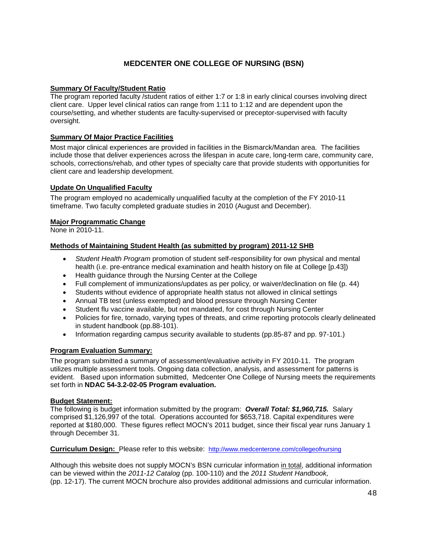# **MEDCENTER ONE COLLEGE OF NURSING (BSN)**

#### **Summary Of Faculty/Student Ratio**

The program reported faculty /student ratios of either 1:7 or 1:8 in early clinical courses involving direct client care. Upper level clinical ratios can range from 1:11 to 1:12 and are dependent upon the course/setting, and whether students are faculty-supervised or preceptor-supervised with faculty oversight.

#### **Summary Of Major Practice Facilities**

Most major clinical experiences are provided in facilities in the Bismarck/Mandan area. The facilities include those that deliver experiences across the lifespan in acute care, long-term care, community care, schools, corrections/rehab, and other types of specialty care that provide students with opportunities for client care and leadership development.

#### **Update On Unqualified Faculty**

The program employed no academically unqualified faculty at the completion of the FY 2010-11 timeframe. Two faculty completed graduate studies in 2010 (August and December).

#### **Major Programmatic Change**

None in 2010-11.

#### **Methods of Maintaining Student Health (as submitted by program) 2011-12 SHB**

- *Student Health Program* promotion of student self-responsibility for own physical and mental health (i.e. pre-entrance medical examination and health history on file at College [p.43])
- Health guidance through the Nursing Center at the College
- Full complement of immunizations/updates as per policy, or waiver/declination on file (p. 44)
- Students without evidence of appropriate health status not allowed in clinical settings
- Annual TB test (unless exempted) and blood pressure through Nursing Center
- Student flu vaccine available, but not mandated, for cost through Nursing Center
- Policies for fire, tornado, varying types of threats, and crime reporting protocols clearly delineated in student handbook (pp.88-101).
- Information regarding campus security available to students (pp.85-87 and pp. 97-101.)

#### **Program Evaluation Summary:**

The program submitted a summary of assessment/evaluative activity in FY 2010-11. The program utilizes multiple assessment tools. Ongoing data collection, analysis, and assessment for patterns is evident. Based upon information submitted, Medcenter One College of Nursing meets the requirements set forth in **NDAC 54-3.2-02-05 Program evaluation.**

#### **Budget Statement:**

The following is budget information submitted by the program: *Overall Total: \$1,960,715.* Salary comprised \$1,126,997 of the total. Operations accounted for \$653,718. Capital expenditures were reported at \$180,000. These figures reflect MOCN's 2011 budget, since their fiscal year runs January 1 through December 31.

**Curriculum Design:** Please refer to this website: <http://www.medcenterone.com/collegeofnursing>

Although this website does not supply MOCN's BSN curricular information in total, additional information can be viewed within the *2011-12 Catalog* (pp. 100-110) and the *2011 Student Handbook,* (pp. 12-17). The current MOCN brochure also provides additional admissions and curricular information.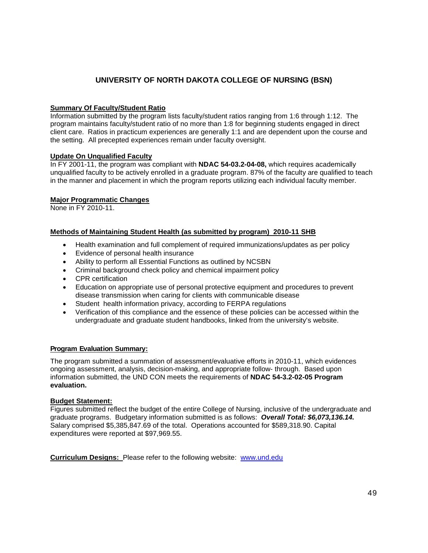### **UNIVERSITY OF NORTH DAKOTA COLLEGE OF NURSING (BSN)**

#### **Summary Of Faculty/Student Ratio**

Information submitted by the program lists faculty/student ratios ranging from 1:6 through 1:12. The program maintains faculty/student ratio of no more than 1:8 for beginning students engaged in direct client care. Ratios in practicum experiences are generally 1:1 and are dependent upon the course and the setting. All precepted experiences remain under faculty oversight.

#### **Update On Unqualified Faculty**

In FY 2001-11, the program was compliant with **NDAC 54-03.2-04-08,** which requires academically unqualified faculty to be actively enrolled in a graduate program. 87% of the faculty are qualified to teach in the manner and placement in which the program reports utilizing each individual faculty member.

#### **Major Programmatic Changes**

None in FY 2010-11.

#### **Methods of Maintaining Student Health (as submitted by program) 2010-11 SHB**

- Health examination and full complement of required immunizations/updates as per policy
- Evidence of personal health insurance
- Ability to perform all Essential Functions as outlined by NCSBN
- Criminal background check policy and chemical impairment policy
- CPR certification
- Education on appropriate use of personal protective equipment and procedures to prevent disease transmission when caring for clients with communicable disease
- Student health information privacy, according to FERPA regulations
- Verification of this compliance and the essence of these policies can be accessed within the undergraduate and graduate student handbooks, linked from the university's website.

#### **Program Evaluation Summary:**

The program submitted a summation of assessment/evaluative efforts in 2010-11, which evidences ongoing assessment, analysis, decision-making, and appropriate follow- through. Based upon information submitted, the UND CON meets the requirements of **NDAC 54-3.2-02-05 Program evaluation.**

#### **Budget Statement:**

Figures submitted reflect the budget of the entire College of Nursing, inclusive of the undergraduate and graduate programs. Budgetary information submitted is as follows: *Overall Total: \$6,073,136.14.* Salary comprised \$5,385,847.69 of the total. Operations accounted for \$589,318.90. Capital expenditures were reported at \$97,969.55.

**Curriculum Designs:** Please refer to the following website: [www.und.edu](http://www.und.edu/)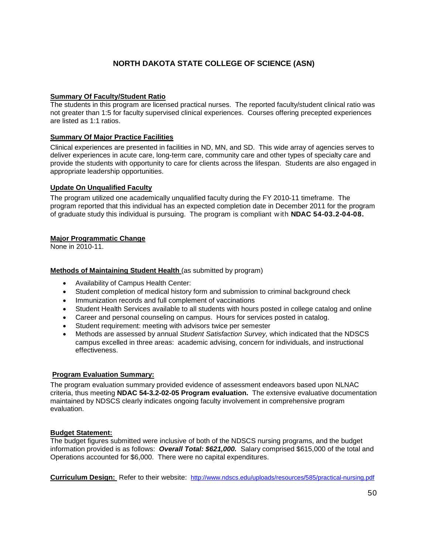# **NORTH DAKOTA STATE COLLEGE OF SCIENCE (ASN)**

#### **Summary Of Faculty/Student Ratio**

The students in this program are licensed practical nurses. The reported faculty/student clinical ratio was not greater than 1:5 for faculty supervised clinical experiences. Courses offering precepted experiences are listed as 1:1 ratios.

#### **Summary Of Major Practice Facilities**

Clinical experiences are presented in facilities in ND, MN, and SD. This wide array of agencies serves to deliver experiences in acute care, long-term care, community care and other types of specialty care and provide the students with opportunity to care for clients across the lifespan. Students are also engaged in appropriate leadership opportunities.

#### **Update On Unqualified Faculty**

The program utilized one academically unqualified faculty during the FY 2010-11 timeframe. The program reported that this individual has an expected completion date in December 2011 for the program of graduate study this individual is pursuing. The program is compliant w ith **NDAC 54-03.2-04-08.**

#### **Major Programmatic Change**

None in 2010-11.

#### **Methods of Maintaining Student Health** (as submitted by program)

- Availability of Campus Health Center:
- Student completion of medical history form and submission to criminal background check
- Immunization records and full complement of vaccinations
- Student Health Services available to all students with hours posted in college catalog and online
- Career and personal counseling on campus. Hours for services posted in catalog.
- Student requirement: meeting with advisors twice per semester
- Methods are assessed by annual *Student Satisfaction Survey,* which indicated that the NDSCS campus excelled in three areas: academic advising, concern for individuals, and instructional effectiveness.

#### **Program Evaluation Summary:**

The program evaluation summary provided evidence of assessment endeavors based upon NLNAC criteria, thus meeting **NDAC 54-3.2-02-05 Program evaluation.** The extensive evaluative documentation maintained by NDSCS clearly indicates ongoing faculty involvement in comprehensive program evaluation.

#### **Budget Statement:**

The budget figures submitted were inclusive of both of the NDSCS nursing programs, and the budget information provided is as follows: *Overall Total: \$621,000.* Salary comprised \$615,000 of the total and Operations accounted for \$6,000. There were no capital expenditures.

**Curriculum Design:** Refer to their website: <http://www.ndscs.edu/uploads/resources/585/practical-nursing.pdf>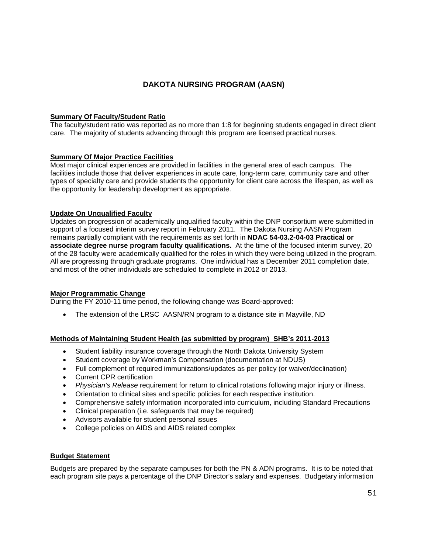### **DAKOTA NURSING PROGRAM (AASN)**

#### **Summary Of Faculty/Student Ratio**

The faculty/student ratio was reported as no more than 1:8 for beginning students engaged in direct client care. The majority of students advancing through this program are licensed practical nurses.

#### **Summary Of Major Practice Facilities**

Most major clinical experiences are provided in facilities in the general area of each campus. The facilities include those that deliver experiences in acute care, long-term care, community care and other types of specialty care and provide students the opportunity for client care across the lifespan, as well as the opportunity for leadership development as appropriate.

#### **Update On Unqualified Faculty**

Updates on progression of academically unqualified faculty within the DNP consortium were submitted in support of a focused interim survey report in February 2011. The Dakota Nursing AASN Program remains partially compliant with the requirements as set forth in **NDAC 54-03.2-04-03 Practical or associate degree nurse program faculty qualifications.** At the time of the focused interim survey, 20 of the 28 faculty were academically qualified for the roles in which they were being utilized in the program. All are progressing through graduate programs. One individual has a December 2011 completion date, and most of the other individuals are scheduled to complete in 2012 or 2013.

#### **Major Programmatic Change**

During the FY 2010-11 time period, the following change was Board-approved:

• The extension of the LRSC AASN/RN program to a distance site in Mayville, ND

#### **Methods of Maintaining Student Health (as submitted by program) SHB's 2011-2013**

- Student liability insurance coverage through the North Dakota University System
- Student coverage by Workman's Compensation (documentation at NDUS)
- Full complement of required immunizations/updates as per policy (or waiver/declination)
- Current CPR certification
- *Physician's Release* requirement for return to clinical rotations following major injury or illness.
- Orientation to clinical sites and specific policies for each respective institution.
- Comprehensive safety information incorporated into curriculum, including Standard Precautions
- Clinical preparation (i.e. safeguards that may be required)
- Advisors available for student personal issues
- College policies on AIDS and AIDS related complex

#### **Budget Statement**

Budgets are prepared by the separate campuses for both the PN & ADN programs. It is to be noted that each program site pays a percentage of the DNP Director's salary and expenses. Budgetary information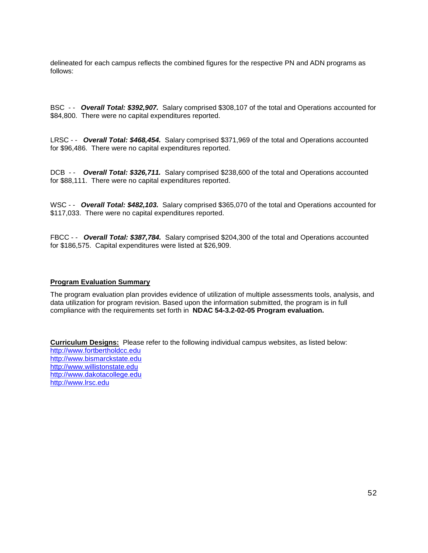delineated for each campus reflects the combined figures for the respective PN and ADN programs as follows:

BSC - - *Overall Total: \$392,907.* Salary comprised \$308,107 of the total and Operations accounted for \$84,800. There were no capital expenditures reported.

LRSC - - *Overall Total: \$468,454.* Salary comprised \$371,969 of the total and Operations accounted for \$96,486. There were no capital expenditures reported.

DCB - - *Overall Total: \$326,711.* Salary comprised \$238,600 of the total and Operations accounted for \$88,111. There were no capital expenditures reported.

WSC - **Overall Total: \$482,103.** Salary comprised \$365,070 of the total and Operations accounted for \$117,033. There were no capital expenditures reported.

FBCC - - *Overall Total: \$387,784.* Salary comprised \$204,300 of the total and Operations accounted for \$186,575. Capital expenditures were listed at \$26,909.

#### **Program Evaluation Summary**

The program evaluation plan provides evidence of utilization of multiple assessments tools, analysis, and data utilization for program revision. Based upon the information submitted, the program is in full compliance with the requirements set forth in **NDAC 54-3.2-02-05 Program evaluation.**

**Curriculum Designs:** Please refer to the following individual campus websites, as listed below: [http://www.fortbertholdcc.edu](http://www.fortbertholdcc.edu/) [http://www.bismarckstate.edu](http://www.bismarckstate.edu/) [http://www.willistonstate.edu](http://www.willistonstate.edu/)  [http://www.dakotacollege.edu](http://www.dakotacollege.edu/) [http://www.lrsc.edu](http://www.lrsc.edu/)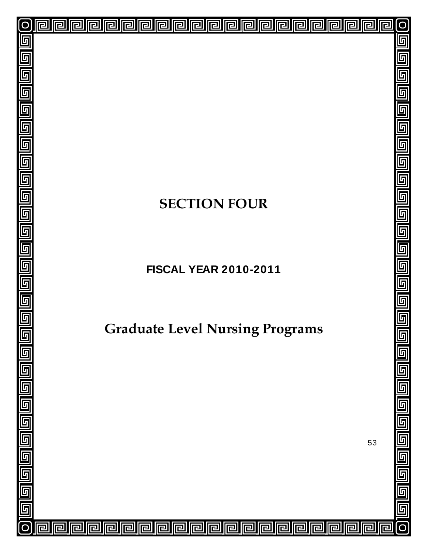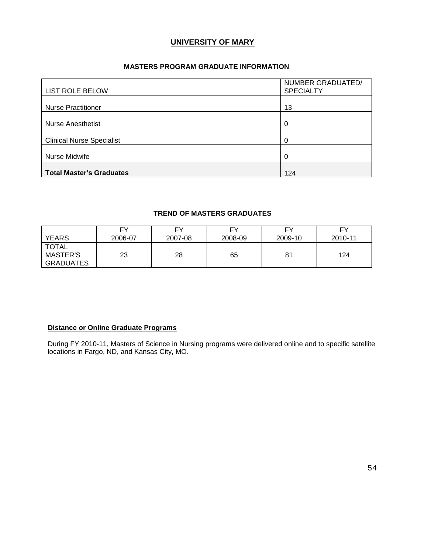### **UNIVERSITY OF MARY**

#### **MASTERS PROGRAM GRADUATE INFORMATION**

| <b>LIST ROLE BELOW</b>           | NUMBER GRADUATED/<br><b>SPECIALTY</b> |
|----------------------------------|---------------------------------------|
| <b>Nurse Practitioner</b>        | 13                                    |
| <b>Nurse Anesthetist</b>         | 0                                     |
| <b>Clinical Nurse Specialist</b> | 0                                     |
| Nurse Midwife                    | 0                                     |
| <b>Total Master's Graduates</b>  | 124                                   |

### **TREND OF MASTERS GRADUATES**

| <b>YEARS</b>                          | FΥ      | FΥ      | FY      | EV      | FY      |
|---------------------------------------|---------|---------|---------|---------|---------|
|                                       | 2006-07 | 2007-08 | 2008-09 | 2009-10 | 2010-11 |
| <b>TOTAL</b><br>MASTER'S<br>GRADUATES | 23      | 28      | 65      | 81      | 124     |

#### **Distance or Online Graduate Programs**

During FY 2010-11, Masters of Science in Nursing programs were delivered online and to specific satellite locations in Fargo, ND, and Kansas City, MO.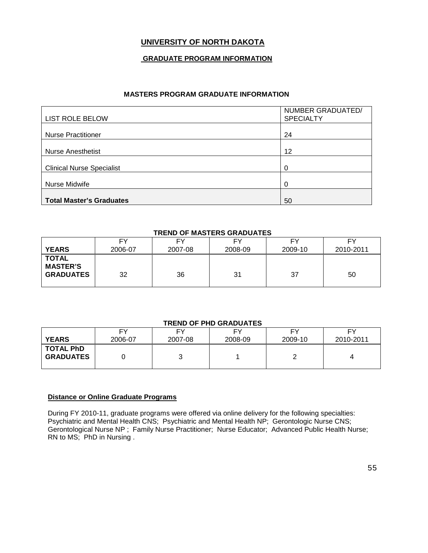# **UNIVERSITY OF NORTH DAKOTA**

#### **GRADUATE PROGRAM INFORMATION**

#### **MASTERS PROGRAM GRADUATE INFORMATION**

| <b>LIST ROLE BELOW</b>           | NUMBER GRADUATED/<br><b>SPECIALTY</b> |
|----------------------------------|---------------------------------------|
| <b>Nurse Practitioner</b>        | 24                                    |
| <b>Nurse Anesthetist</b>         | 12                                    |
| <b>Clinical Nurse Specialist</b> | 0                                     |
| Nurse Midwife                    | $\Omega$                              |
| <b>Total Master's Graduates</b>  | 50                                    |

#### **TREND OF MASTERS GRADUATES**

|                                                     | FY      | F۷      | FΥ      | FΥ      | FΥ        |
|-----------------------------------------------------|---------|---------|---------|---------|-----------|
| <b>YEARS</b>                                        | 2006-07 | 2007-08 | 2008-09 | 2009-10 | 2010-2011 |
| <b>TOTAL</b><br><b>MASTER'S</b><br><b>GRADUATES</b> | 32      | 36      | 31      | 37      | 50        |

#### **TREND OF PHD GRADUATES**

| <b>YEARS</b>                         | EV      | F۷      | EV      | FΥ      | EV        |
|--------------------------------------|---------|---------|---------|---------|-----------|
|                                      | 2006-07 | 2007-08 | 2008-09 | 2009-10 | 2010-2011 |
| <b>TOTAL PhD</b><br><b>GRADUATES</b> |         | ັ       |         |         |           |

#### **Distance or Online Graduate Programs**

During FY 2010-11, graduate programs were offered via online delivery for the following specialties: Psychiatric and Mental Health CNS; Psychiatric and Mental Health NP; Gerontologic Nurse CNS; Gerontological Nurse NP ; Family Nurse Practitioner; Nurse Educator; Advanced Public Health Nurse; RN to MS; PhD in Nursing .